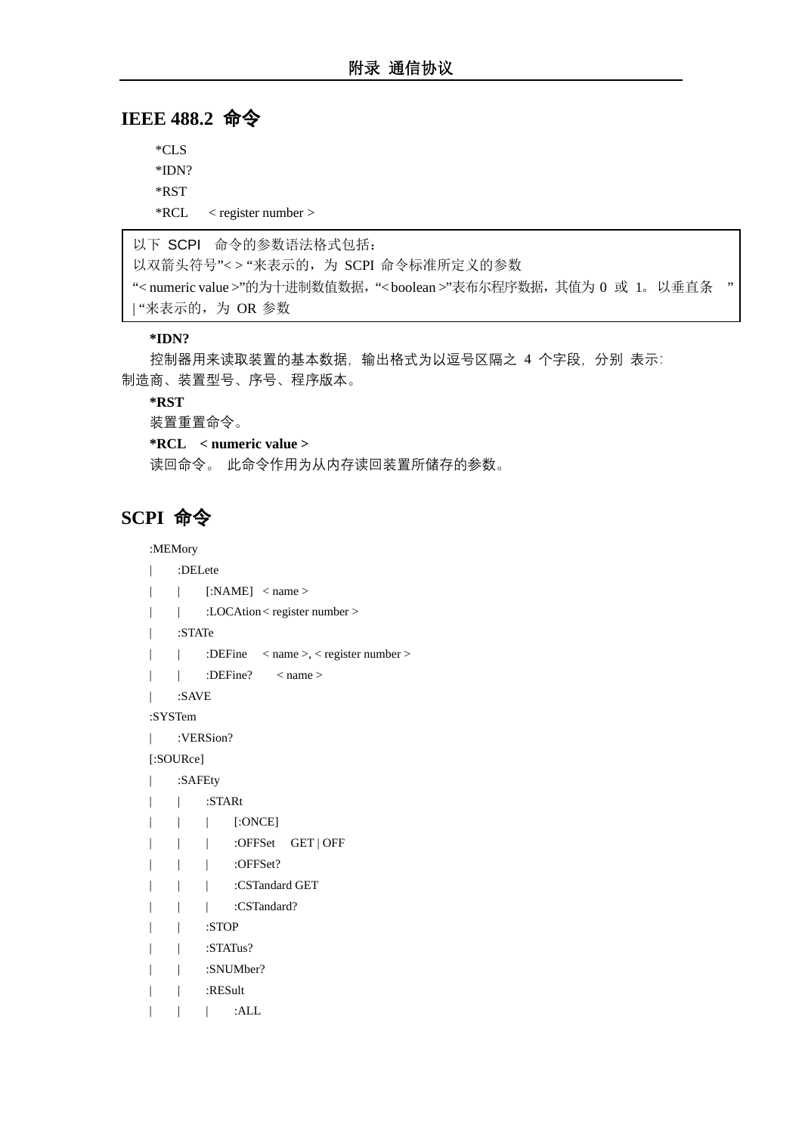# **IEEE 488.2** 命令

\*CLS \*IDN? \*RST \*RCL < register number >

以下 SCPI 命令的参数语法格式包括:

以双箭头符号"<>"来表示的, 为 SCPI 命令标准所定义的参数

"< numeric value >"的为十进制数值数据,"< boolean >"表布尔程序数据,其值为 0 或 1。以垂直条 " | "来表示的, 为 OR 参数

## **\*IDN?**

控制器用来读取装置的基本数据,输出格式为以逗号区隔之 4 个字段,分别 表示: 制造商、装置型号、序号、程序版本。

#### **\*RST**

装置重置命令。

**\*RCL < numeric value >**

读回命令。 此命令作用为从内存读回装置所储存的参数。

# **SCPI** 命令

:MEMory

```
| :DELete
```
- | | [:NAME] < name >
- | :LOCAtion < register number >
- | :STATe
- | | :DEFine < name >, < register number >
- | | :DEFine? < name >
- | :SAVE

:SYSTem

| :VERSion?

[:SOURce]

- | :SAFEty
- | | :STARt
- | | | [:ONCE]
- | | | :OFFSet GET | OFF
- | | | :OFFSet?
- | | | :CSTandard GET
- | | | :CSTandard?
- | | :STOP
- | | :STATus?
- | | :SNUMber?
- | | :RESult
- | | | :ALL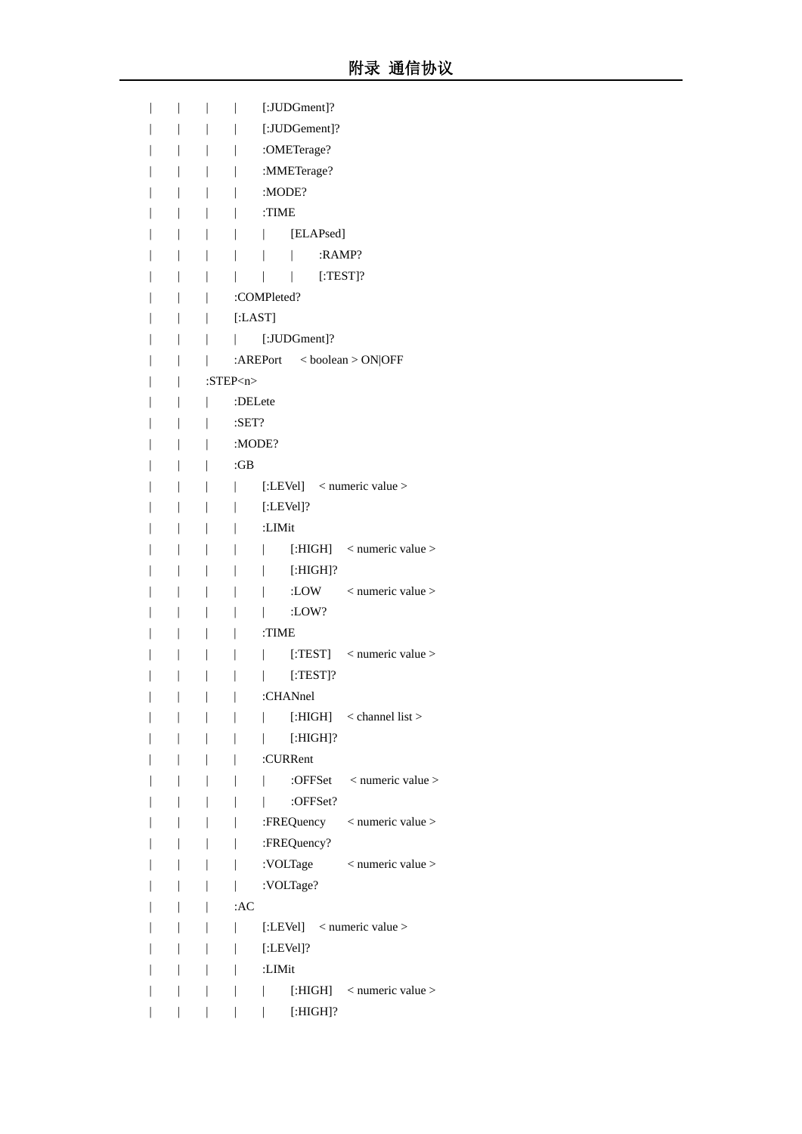|  | [:JUDGment]?                                                                         |
|--|--------------------------------------------------------------------------------------|
|  | [:JUDGement]?                                                                        |
|  | :OMETerage?                                                                          |
|  | :MMETerage?                                                                          |
|  | :MODE?                                                                               |
|  | :TIME                                                                                |
|  | [ELAPsed]<br>I                                                                       |
|  | :RAMP?                                                                               |
|  | $[$ :TEST]?<br>I                                                                     |
|  | :COMPleted?                                                                          |
|  | [:LAST]                                                                              |
|  | [:JUDGment]?<br>$\mathbf{L}$                                                         |
|  | : $AREPort \leq boolean > ON OFF$                                                    |
|  | : $STEP < n >$                                                                       |
|  | :DELete                                                                              |
|  | $:$ <b>SET?</b>                                                                      |
|  | :MODE?                                                                               |
|  | :GB                                                                                  |
|  | [:LEVel] < numeric value ><br>L                                                      |
|  | $[:LEVel]$ ?                                                                         |
|  | :LIMit                                                                               |
|  | [:HIGH] < numeric value ><br>L                                                       |
|  | $[:HIGH]$ ?<br>I                                                                     |
|  | :LOW $\leq$ numeric value $>$                                                        |
|  | :LOW?                                                                                |
|  | :TIME                                                                                |
|  | [:TEST] $\leq$ numeric value >                                                       |
|  | $[$ :TEST]?                                                                          |
|  | :CHANnel                                                                             |
|  | [: $HIGH$ ] < channel list ><br>$\overline{\phantom{a}}$<br>$\overline{\phantom{a}}$ |
|  | $[:HIGH]$ ?<br>$\overline{\phantom{a}}$<br>$\mathbf{I}$                              |
|  | :CURRent<br>$\overline{\phantom{a}}$                                                 |
|  | :OFFSet < numeric value >                                                            |
|  | :OFFSet?<br>$\overline{ }$<br>$\mathbf{L}$                                           |
|  | :FREQuency < numeric value >                                                         |
|  | :FREQuency?                                                                          |
|  | :VOLTage < numeric value >                                                           |
|  | :VOLTage?                                                                            |
|  | :AC                                                                                  |
|  | [:LEVel] < numeric value ><br>T                                                      |
|  | $[:LEVel]$ ?<br>L                                                                    |
|  | :LIMit                                                                               |
|  | [: $HIGH$ ] < numeric value ><br>I                                                   |
|  | $[:HIGH]$ ?<br>$\overline{1}$                                                        |
|  |                                                                                      |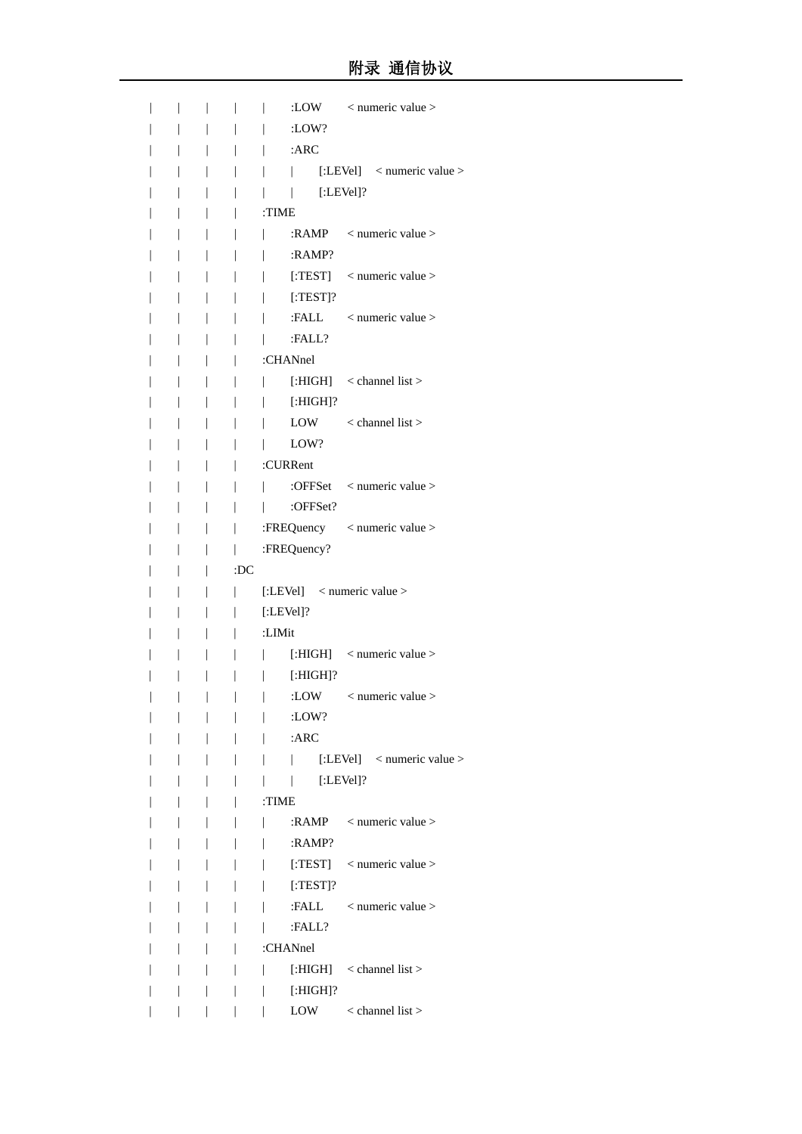|  |                | :LOW<br>$<$ numeric value $>$                                     |
|--|----------------|-------------------------------------------------------------------|
|  |                | :LOW?                                                             |
|  |                | :ARC                                                              |
|  |                | [:LEVel] $\langle$ numeric value $\rangle$<br>L                   |
|  |                | $[:LEVel]$ ?<br>I                                                 |
|  |                | :TIME                                                             |
|  |                | : $RAMP$ < numeric value >                                        |
|  |                | :RAMP?                                                            |
|  |                | [:TEST] $\langle$ numeric value $\rangle$                         |
|  |                | $[$ :TEST]?                                                       |
|  |                | :FALL<br>$<$ numeric value $>$                                    |
|  |                | :FALL?                                                            |
|  |                | :CHANnel                                                          |
|  |                | [: $HIGH$ ] < channel list >                                      |
|  |                | $[:HIGH] ?$<br>I                                                  |
|  |                | LOW $\leq$ channel list >                                         |
|  |                | LOW?                                                              |
|  |                | :CURRent                                                          |
|  |                | :OFFSet $\leq$ numeric value $>$                                  |
|  |                | :OFFSet?                                                          |
|  |                | :FREQuency < numeric value >                                      |
|  |                | :FREQuency?                                                       |
|  |                |                                                                   |
|  | :DC            |                                                                   |
|  |                | [:LEVel] < numeric value >                                        |
|  |                | $[:LEVel]$ ?                                                      |
|  |                | :LIMit                                                            |
|  |                | [:HIGH] $\leq$ numeric value $>$                                  |
|  |                | $[:HIGH]$ ?                                                       |
|  |                | :LOW<br>$<$ numeric value $>$                                     |
|  | $\overline{1}$ | :LOW?<br>$\overline{\phantom{a}}$                                 |
|  | L              | $:$ ARC<br>$\mathbf{r}$                                           |
|  | L              | [:LEVel] $\langle$ numeric value $\rangle$<br>L<br>$\mathbb{R}^n$ |
|  |                | $[:LEVel]$ ?<br>$\mathbf{L}$<br>L                                 |
|  |                | :TIME                                                             |
|  |                | :RAMP $\leq$ numeric value $>$<br>L                               |
|  |                | :RAMP?                                                            |
|  |                | [:TEST] $\leq$ numeric value $>$<br>L                             |
|  |                | $[$ :TEST $]$ ?<br>L                                              |
|  |                | :FALL $\leq$ numeric value $>$                                    |
|  |                | :FALL?                                                            |
|  |                | :CHANnel                                                          |
|  |                | [: $HIGH$ ] < channel list ><br>L                                 |
|  |                | $[:HIGH]$ ?<br>L                                                  |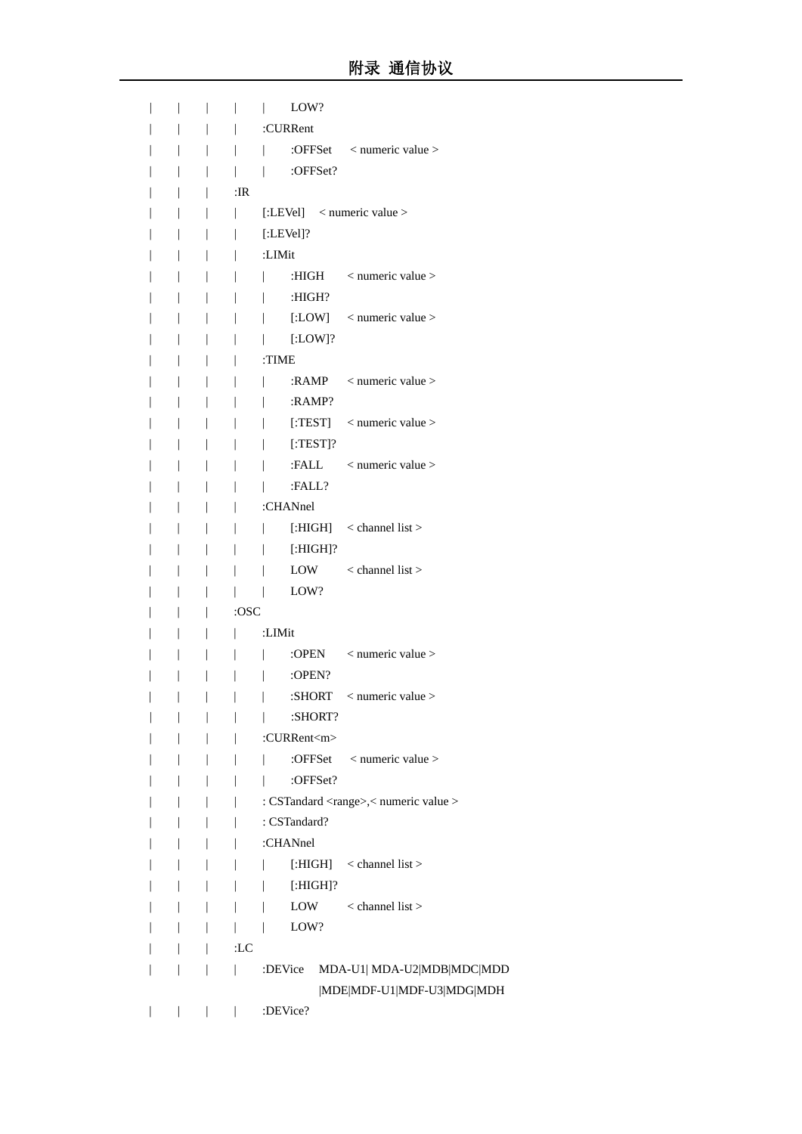|  |  |        | LOW?                                                |
|--|--|--------|-----------------------------------------------------|
|  |  |        | :CURRent                                            |
|  |  |        | :OFFSet < numeric value >                           |
|  |  | L      | :OFFSet?<br>$\mathbf{I}$                            |
|  |  | :IR    |                                                     |
|  |  | T      | [:LEVel] $\langle$ numeric value $\rangle$          |
|  |  |        | $[:LEVel]$ ?                                        |
|  |  |        | :LIMit                                              |
|  |  |        | $\alpha$ numeric value $>$<br>:HIGH<br>T            |
|  |  |        | :HIGH?                                              |
|  |  |        | [:LOW] $\langle$ numeric value $\rangle$            |
|  |  |        | $[:LOW]$ ?<br>L                                     |
|  |  |        | :TIME                                               |
|  |  |        | : $RAMP$ < numeric value >                          |
|  |  |        | :RAMP?                                              |
|  |  |        | [:TEST] $\leq$ numeric value $>$<br>T               |
|  |  |        | $[$ :TEST]?<br>T                                    |
|  |  |        | :FALL<br>$<$ numeric value $>$                      |
|  |  |        | :FALL?                                              |
|  |  |        | :CHANnel                                            |
|  |  |        | [: $HIGH$ ] < channel list ><br>T                   |
|  |  |        | $[:HIGH]$ ?<br>T                                    |
|  |  |        | $\alpha$ < channel list $>$<br>LOW                  |
|  |  |        | LOW?                                                |
|  |  | :OSC   |                                                     |
|  |  |        | :LIMit                                              |
|  |  |        | $<$ numeric value $>$<br>:OPEN                      |
|  |  |        | :OPEN?                                              |
|  |  |        | $<$ numeric value $>$<br>:SHORT                     |
|  |  |        | :SHORT?<br>I                                        |
|  |  |        | :CURRent <m></m>                                    |
|  |  |        | :OFFSet $\leq$ numeric value $>$<br>$\mathbf{I}$    |
|  |  |        | :OFFSet?                                            |
|  |  |        | : CSTandard <range>,&lt; numeric value &gt;</range> |
|  |  |        | : CSTandard?                                        |
|  |  |        | :CHANnel                                            |
|  |  |        | [: $HIGH$ ] < channel list ><br>T                   |
|  |  | T      | $[:HIGH]$ ?<br>T                                    |
|  |  | T      | $\alpha$ < channel list $>$<br>LOW<br>T             |
|  |  | L      | LOW?<br>T                                           |
|  |  | $:$ LC |                                                     |
|  |  | T      | MDA-U1  MDA-U2 MDB MDC MDD<br>:DEVice               |
|  |  |        | MDE MDF-U1 MDF-U3 MDG MDH                           |
|  |  |        | :DEVice?                                            |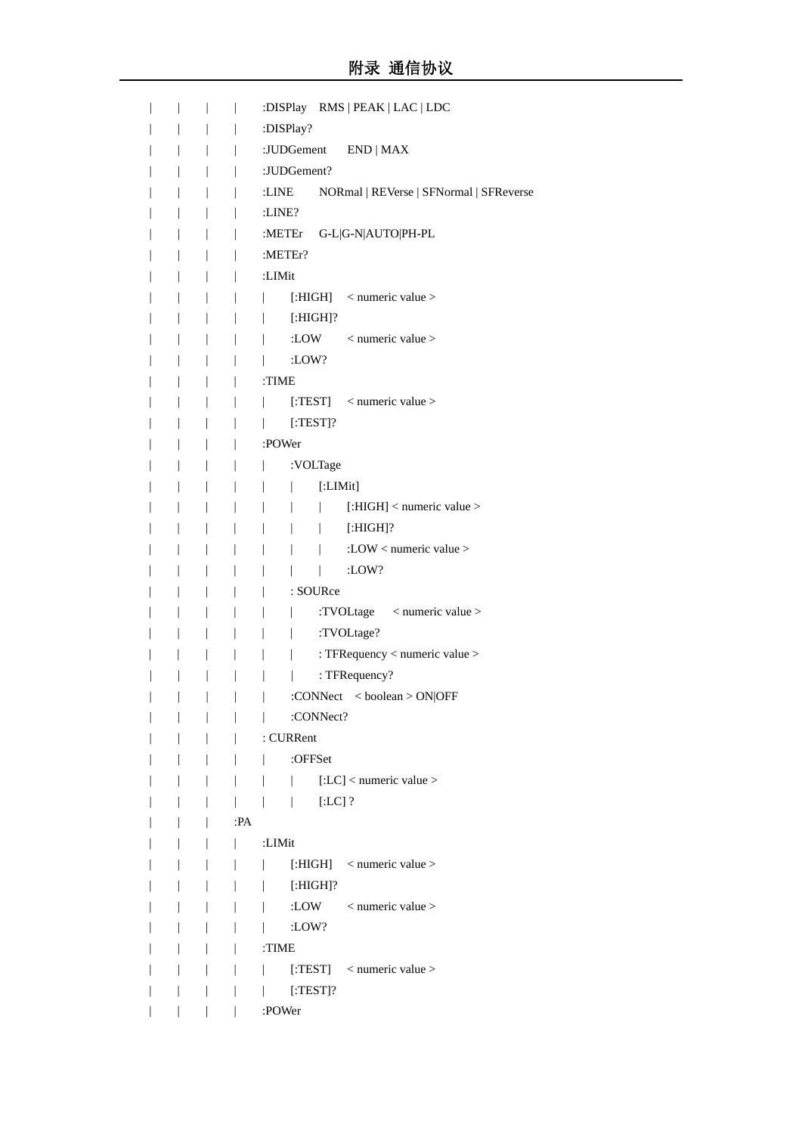|  |                |     | :DISPlay RMS   PEAK   LAC   LDC                            |
|--|----------------|-----|------------------------------------------------------------|
|  |                |     | :DISPlay?                                                  |
|  |                |     | :JUDGement END   MAX                                       |
|  | $\overline{1}$ |     | :JUDGement?                                                |
|  |                |     | NORmal   REVerse   SFNormal   SFReverse<br>:LINE           |
|  |                |     | : $LINE?$                                                  |
|  |                |     | :METEr G-L G-N AUTO PH-PL                                  |
|  |                |     | :METEr?                                                    |
|  |                |     | :LIMit                                                     |
|  |                |     | [:HIGH] $\leq$ numeric value $>$<br>L                      |
|  |                |     | $[:HIGH]$ ?<br>L                                           |
|  |                |     | :LOW $\leq$ numeric value $>$                              |
|  |                |     | :LOW?                                                      |
|  | I              |     | :TIME                                                      |
|  |                |     | [:TEST] $\leq$ numeric value $>$<br>L                      |
|  |                |     | $[$ :TEST $]$ ?<br>L                                       |
|  |                |     | :POWer                                                     |
|  |                |     | :VOLTage<br>L                                              |
|  |                |     | [:LIMit]<br>L<br>L                                         |
|  |                |     | [: $HIGH$ ] < numeric value >                              |
|  |                |     | $[:HIGH]$ ?<br>$\mathbf{L}$                                |
|  |                |     | :LOW < numeric value >                                     |
|  |                |     | :LOW?                                                      |
|  |                |     | : SOURce                                                   |
|  |                |     | :TVOLtage < numeric value ><br>$\overline{1}$              |
|  |                |     | :TVOLtage?<br>$\overline{1}$                               |
|  |                |     | : TFRequency < numeric value >                             |
|  |                |     | : TFRequency?                                              |
|  |                |     | :CONNect<br><br><br><br><br><br><br><br><br><br>ON<br> OFF |
|  |                |     | :CONNect?<br>$\mathbf{L}$                                  |
|  |                |     | : CURRent                                                  |
|  | T              |     | :OFFSet                                                    |
|  |                |     | $\vert$ [:LC] < numeric value ><br>L                       |
|  |                |     | $[:LC]$ ?<br>$\perp$                                       |
|  |                | :PA |                                                            |
|  |                | L   | :LIMit                                                     |
|  | L              |     | [:HIGH] $\leq$ numeric value $>$<br>$\mathbf{L}$           |
|  |                |     | $[:HIGH]$ ?<br>L                                           |
|  |                |     | :LOW $\leq$ numeric value $>$                              |
|  |                |     | :LOW?                                                      |
|  |                |     | :TIME                                                      |
|  |                |     | [:TEST] $\leq$ numeric value ><br>L                        |
|  |                |     | $[:\]TEST$ ?<br>L                                          |
|  |                |     | :POWer                                                     |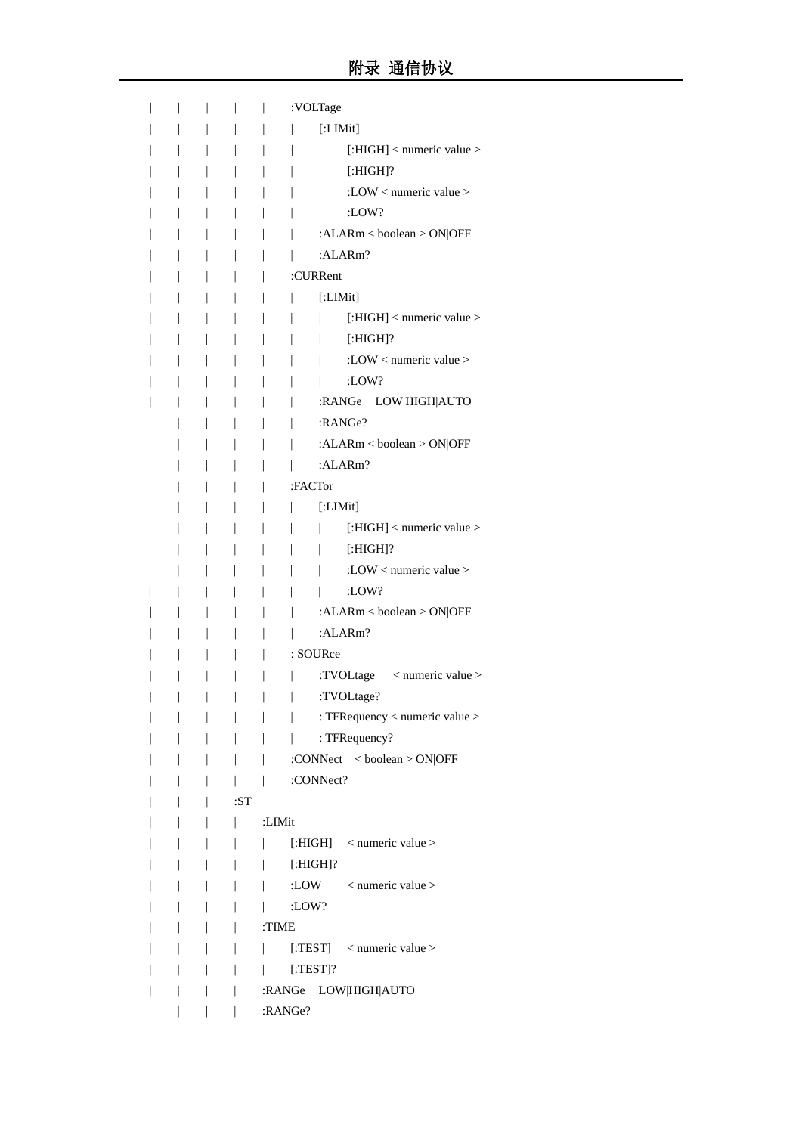|  |              | :VOLTage                              |
|--|--------------|---------------------------------------|
|  |              | [:LIMit]                              |
|  |              | [:HIGH] < numeric value >             |
|  |              | $[:HIGH]$ ?                           |
|  |              | :LOW < numeric value >                |
|  |              | $:$ LOW?                              |
|  |              | : $ALARM <$ boolean > ON OFF          |
|  |              | :ALARm?                               |
|  |              | :CURRent                              |
|  |              | [:LIMit]                              |
|  |              | [:HIGH] < numeric value >             |
|  |              | $[:HIGH]$ ?                           |
|  |              | :LOW < numeric value >                |
|  |              | :LOW?                                 |
|  |              | LOW HIGH AUTO<br>:RANGe               |
|  |              | :RANGe?                               |
|  |              | : $ALARM <$ boolean > ON OFF          |
|  |              | : $ALARM$ ?                           |
|  |              | :FACTor                               |
|  |              | [:LIMit]                              |
|  |              | [: $HIGH$ ] < numeric value >         |
|  |              | $[:HIGH]$ ?                           |
|  |              | :LOW < numeric value >                |
|  |              | $:$ LOW?                              |
|  |              | : $ALARM <$ boolean > ON OFF          |
|  |              | :ALARm?                               |
|  |              | : SOURce                              |
|  |              | :TVOLtage < numeric value >           |
|  |              | :TVOLtage?                            |
|  |              | : TFRequency < numeric value >        |
|  |              | : TFRequency?<br>$\mathbf{L}$         |
|  |              | :CONNect $<$ boolean > ON OFF<br>L    |
|  | $\mathbf{L}$ | :CONNect?                             |
|  | :ST          |                                       |
|  | L            | :LIMit                                |
|  |              | [:HIGH] $\leq$ numeric value $>$      |
|  |              |                                       |
|  |              | [:HIGH]?                              |
|  |              | :LOW $\leq$ numeric value $>$         |
|  |              | :LOW?                                 |
|  |              | :TIME                                 |
|  |              | [:TEST] $\leq$ numeric value $>$<br>L |
|  |              | $[$ :TEST]?                           |
|  |              | :RANGe LOW HIGH AUTO                  |
|  |              | :RANGe?                               |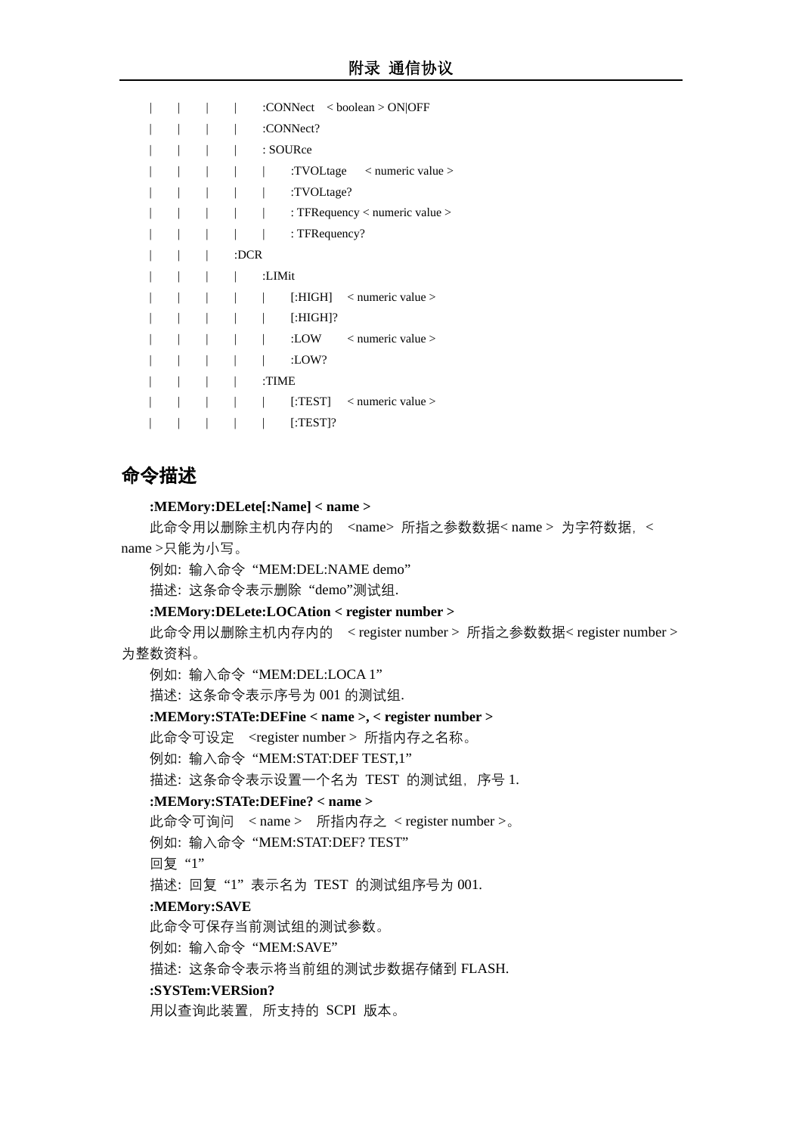|  |      | :CONNect $\langle$ boolean $>$ ON OFF       |
|--|------|---------------------------------------------|
|  |      | :CONNect?                                   |
|  |      | : SOURce                                    |
|  |      | :TVOLtage $\langle$ numeric value $\rangle$ |
|  |      | :TVOLtage?                                  |
|  |      | : TFRequency $\lt$ numeric value $\gt$      |
|  |      | : $TFRequest?$                              |
|  | :DCR |                                             |
|  |      | :LIMit                                      |
|  |      | [:HIGH] $\leq$ numeric value $>$            |
|  |      | $[:HIGH]$ ?                                 |
|  |      | :LOW<br>$\langle$ numeric value $\rangle$   |
|  |      | $:$ LOW?                                    |
|  |      | :TIME                                       |
|  |      | [:TEST] $\leq$ numeric value $>$            |
|  |      | $[$ :TEST]?                                 |
|  |      |                                             |

# 命令描述

#### **:MEMory:DELete[:Name] < name >**

此命令用以删除主机内存内的 <name> 所指之参数数据<name > 为字符数据, < name >只能为小写。

例如: 输入命令 "MEM:DEL:NAME demo"

描述: 这条命令表示删除 "demo"测试组.

#### **:MEMory:DELete:LOCAtion < register number >**

此命令用以删除主机内存内的 < register number > 所指之参数数据< register number > 为整数资料。

例如: 输入命令 "MEM:DEL:LOCA 1"

描述: 这条命令表示序号为 001 的测试组.

#### **:MEMory:STATe:DEFine < name >, < register number >**

此命令可设定 <register number > 所指内存之名称。

例如: 输入命令 "MEM:STAT:DEF TEST,1"

描述: 这条命令表示设置一个名为 TEST 的测试组,序号 1.

#### **:MEMory:STATe:DEFine? < name >**

此命令可询问 < name > 所指内存之 < register number >。

例如: 输入命令 "MEM:STAT:DEF? TEST"

回复 "1"

描述: 回复 "1" 表示名为 TEST 的测试组序号为 001.

#### **:MEMory:SAVE**

此命令可保存当前测试组的测试参数。

例如: 输入命令 "MEM:SAVE"

描述: 这条命令表示将当前组的测试步数据存储到 FLASH.

#### **:SYSTem:VERSion?**

用以查询此装置,所支持的 SCPI 版本。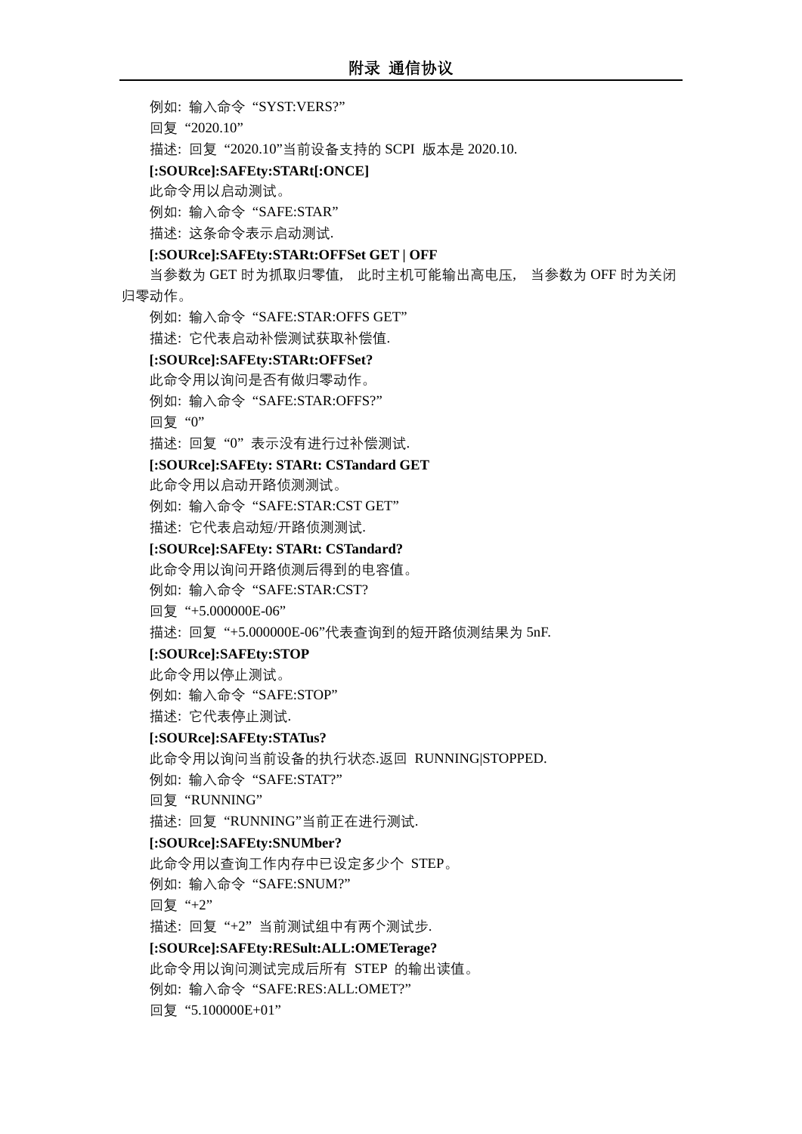例如: 输入命令 "SYST:VERS?"

回复 "2020.10"

描述: 回复 "2020.10"当前设备支持的 SCPI 版本是 2020.10.

#### **[:SOURce]:SAFEty:STARt[:ONCE]**

此命令用以启动测试。

例如: 输入命令 "SAFE:STAR"

描述: 这条命令表示启动测试.

#### **[:SOURce]:SAFEty:STARt:OFFSet GET | OFF**

当参数为 GET 时为抓取归零值, 此时主机可能输出高电压, 当参数为 OFF 时为关闭 归零动作。

例如: 输入命令 "SAFE:STAR:OFFS GET"

描述: 它代表启动补偿测试获取补偿值.

#### **[:SOURce]:SAFEty:STARt:OFFSet?**

此命令用以询问是否有做归零动作。

例如: 输入命令 "SAFE:STAR:OFFS?"

回复 "0"

描述: 回复 "0" 表示没有进行过补偿测试.

#### **[:SOURce]:SAFEty: STARt: CSTandard GET**

此命令用以启动开路侦测测试。

例如: 输入命令 "SAFE:STAR:CST GET"

描述: 它代表启动短/开路侦测测试.

#### **[:SOURce]:SAFEty: STARt: CSTandard?**

此命令用以询问开路侦测后得到的电容值。

例如: 输入命令 "SAFE:STAR:CST?

回复 "+5.000000E-06"

描述: 回复 "+5.000000E-06"代表查询到的短开路侦测结果为 5nF.

#### **[:SOURce]:SAFEty:STOP**

此命令用以停止测试。

例如: 输入命令 "SAFE:STOP"

描述: 它代表停止测试.

#### **[:SOURce]:SAFEty:STATus?**

此命令用以询问当前设备的执行状态.返回 RUNNING|STOPPED.

例如: 输入命令 "SAFE:STAT?"

回复 "RUNNING"

描述: 回复 "RUNNING"当前正在进行测试.

#### **[:SOURce]:SAFEty:SNUMber?**

此命令用以查询工作内存中已设定多少个 STEP。 例如: 输入命令 "SAFE:SNUM?"

回复 "+2"

描述: 回复 "+2" 当前测试组中有两个测试步.

#### **[:SOURce]:SAFEty:RESult:ALL:OMETerage?**

此命令用以询问测试完成后所有 STEP 的输出读值。 例如: 输入命令 "SAFE:RES:ALL:OMET?"

回复 "5.100000E+01"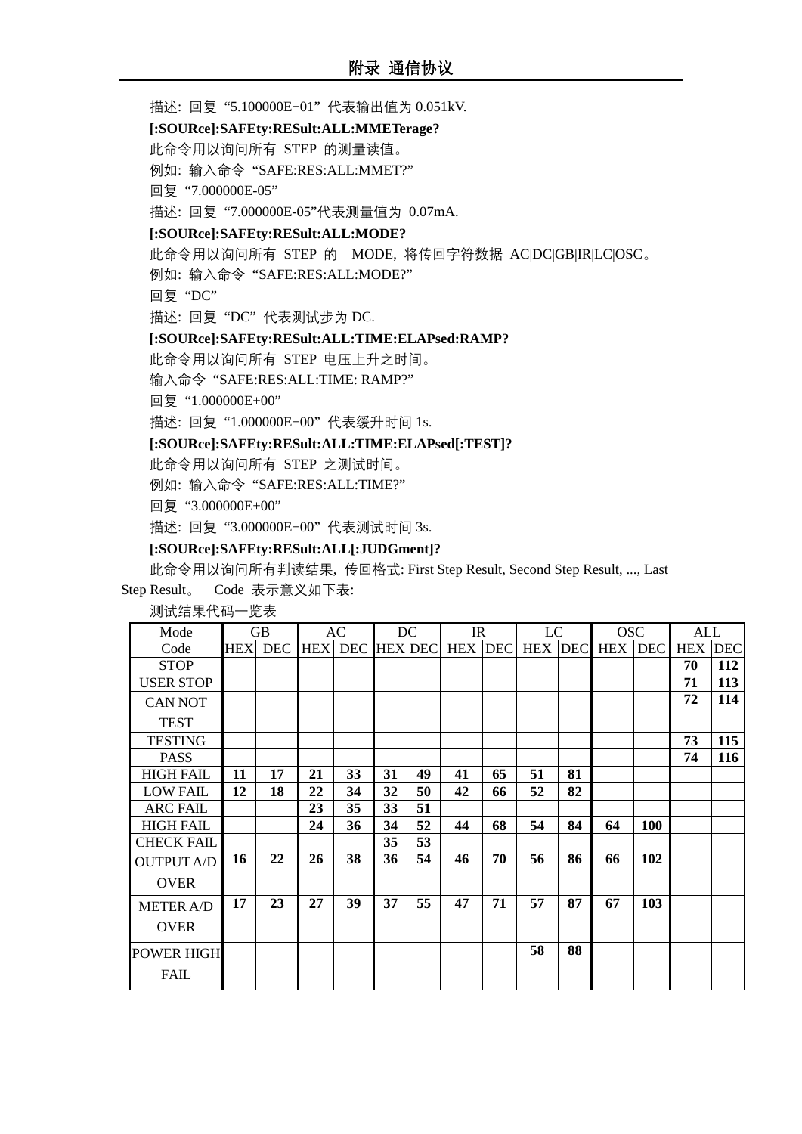描述: 回复 "5.100000E+01" 代表输出值为 0.051kV.

**[:SOURce]:SAFEty:RESult:ALL:MMETerage?**

此命令用以询问所有 STEP 的测量读值。

例如: 输入命令 "SAFE:RES:ALL:MMET?"

回复 "7.000000E-05"

描述: 回复 "7.000000E-05"代表测量值为 0.07mA.

**[:SOURce]:SAFEty:RESult:ALL:MODE?**

此命令用以询问所有 STEP 的 MODE, 将传回字符数据 AC|DC|GB|IR|LC|OSC。

例如: 输入命令 "SAFE:RES:ALL:MODE?"

回复 "DC"

描述: 回复 "DC" 代表测试步为 DC.

#### **[:SOURce]:SAFEty:RESult:ALL:TIME:ELAPsed:RAMP?**

此命令用以询问所有 STEP 电压上升之时间。

输入命令 "SAFE:RES:ALL:TIME: RAMP?"

回复 "1.000000E+00"

描述: 回复 "1.000000E+00" 代表缓升时间 1s.

#### **[:SOURce]:SAFEty:RESult:ALL:TIME:ELAPsed[:TEST]?**

此命令用以询问所有 STEP 之测试时间。

例如: 输入命令 "SAFE:RES:ALL:TIME?"

回复 "3.000000E+00"

描述: 回复 "3.000000E+00" 代表测试时间 3s.

#### **[:SOURce]:SAFEty:RESult:ALL[:JUDGment]?**

此命令用以询问所有判读结果, 传回格式: First Step Result, Second Step Result, ..., Last

Step Result。 Code 表示意义如下表:

测试结果代码一览表

| Mode              |            | GB         |            | AC         |    | DC             | $_{\rm IR}$    |    | LC             |    | <b>OSC</b> |            | <b>ALL</b> |            |
|-------------------|------------|------------|------------|------------|----|----------------|----------------|----|----------------|----|------------|------------|------------|------------|
| Code              | <b>HEX</b> | <b>DEC</b> | <b>HEX</b> | <b>DEC</b> |    | <b>HEX DEC</b> | <b>HEX DEC</b> |    | <b>HEX DEC</b> |    | <b>HEX</b> | <b>DEC</b> | <b>HEX</b> | <b>DEC</b> |
| <b>STOP</b>       |            |            |            |            |    |                |                |    |                |    |            |            | 70         | 112        |
| <b>USER STOP</b>  |            |            |            |            |    |                |                |    |                |    |            |            | 71         | 113        |
| <b>CAN NOT</b>    |            |            |            |            |    |                |                |    |                |    |            |            | 72         | 114        |
| <b>TEST</b>       |            |            |            |            |    |                |                |    |                |    |            |            |            |            |
| <b>TESTING</b>    |            |            |            |            |    |                |                |    |                |    |            |            | 73         | 115        |
| <b>PASS</b>       |            |            |            |            |    |                |                |    |                |    |            |            | 74         | 116        |
| <b>HIGH FAIL</b>  | 11         | 17         | 21         | 33         | 31 | 49             | 41             | 65 | 51             | 81 |            |            |            |            |
| <b>LOW FAIL</b>   | 12         | 18         | 22         | 34         | 32 | 50             | 42             | 66 | 52             | 82 |            |            |            |            |
| <b>ARC FAIL</b>   |            |            | 23         | 35         | 33 | 51             |                |    |                |    |            |            |            |            |
| <b>HIGH FAIL</b>  |            |            | 24         | 36         | 34 | 52             | 44             | 68 | 54             | 84 | 64         | 100        |            |            |
| <b>CHECK FAIL</b> |            |            |            |            | 35 | 53             |                |    |                |    |            |            |            |            |
| <b>OUTPUT A/D</b> | 16         | 22         | 26         | 38         | 36 | 54             | 46             | 70 | 56             | 86 | 66         | 102        |            |            |
| <b>OVER</b>       |            |            |            |            |    |                |                |    |                |    |            |            |            |            |
| <b>METER A/D</b>  | 17         | 23         | 27         | 39         | 37 | 55             | 47             | 71 | 57             | 87 | 67         | 103        |            |            |
| <b>OVER</b>       |            |            |            |            |    |                |                |    |                |    |            |            |            |            |
| <b>POWER HIGH</b> |            |            |            |            |    |                |                |    | 58             | 88 |            |            |            |            |
| <b>FAIL</b>       |            |            |            |            |    |                |                |    |                |    |            |            |            |            |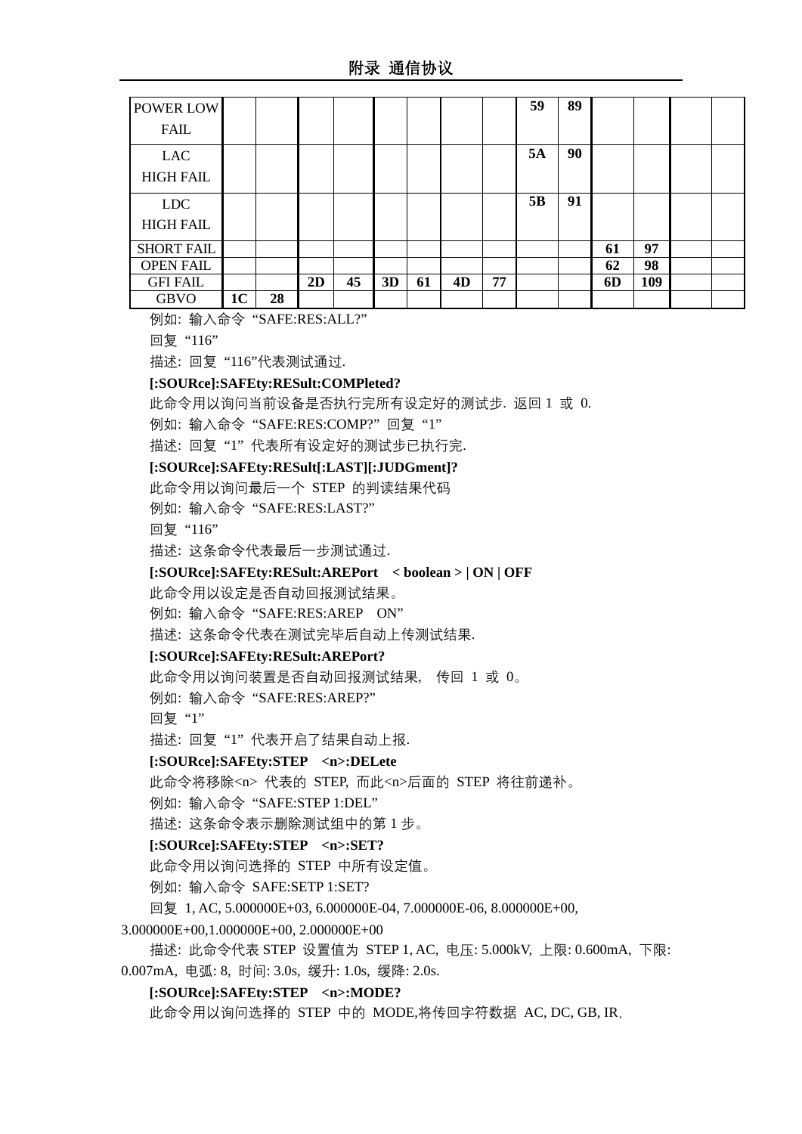附录 通信协议

| <b>POWER LOW</b>  |                |    |    |    |    |    |    |    | 59 | 89 |    |     |  |
|-------------------|----------------|----|----|----|----|----|----|----|----|----|----|-----|--|
| <b>FAIL</b>       |                |    |    |    |    |    |    |    |    |    |    |     |  |
| <b>LAC</b>        |                |    |    |    |    |    |    |    | 5A | 90 |    |     |  |
| <b>HIGH FAIL</b>  |                |    |    |    |    |    |    |    |    |    |    |     |  |
| <b>LDC</b>        |                |    |    |    |    |    |    |    | 5B | 91 |    |     |  |
| <b>HIGH FAIL</b>  |                |    |    |    |    |    |    |    |    |    |    |     |  |
| <b>SHORT FAIL</b> |                |    |    |    |    |    |    |    |    |    | 61 | 97  |  |
| <b>OPEN FAIL</b>  |                |    |    |    |    |    |    |    |    |    | 62 | 98  |  |
| <b>GFI FAIL</b>   |                |    | 2D | 45 | 3D | 61 | 4D | 77 |    |    | 6D | 109 |  |
| <b>GBVO</b>       | 1 <sub>C</sub> | 28 |    |    |    |    |    |    |    |    |    |     |  |

例如: 输入命令 "SAFE:RES:ALL?"

回复 "116"

描述: 回复 "116"代表测试通过.

#### **[:SOURce]:SAFEty:RESult:COMPleted?**

此命令用以询问当前设备是否执行完所有设定好的测试步. 返回 1 或 0.

例如: 输入命令 "SAFE:RES:COMP?" 回复 "1"

描述: 回复 "1" 代表所有设定好的测试步已执行完.

## **[:SOURce]:SAFEty:RESult[:LAST][:JUDGment]?**

此命令用以询问最后一个 STEP 的判读结果代码

例如: 输入命令 "SAFE:RES:LAST?"

回复 "116"

描述: 这条命令代表最后一步测试通过.

#### **[:SOURce]:SAFEty:RESult:AREPort < boolean > | ON | OFF**

此命令用以设定是否自动回报测试结果。

例如: 输入命令 "SAFE:RES:AREP ON"

描述: 这条命令代表在测试完毕后自动上传测试结果.

#### **[:SOURce]:SAFEty:RESult:AREPort?**

此命令用以询问装置是否自动回报测试结果, 传回 1 或 0。

例如: 输入命令 "SAFE:RES:AREP?"

回复 "1"

描述: 回复 "1" 代表开启了结果自动上报.

#### **[:SOURce]:SAFEty:STEP <n>:DELete**

此命令将移除<n> 代表的 STEP, 而此<n>后面的 STEP 将往前递补。

例如: 输入命令 "SAFE:STEP 1:DEL"

描述: 这条命令表示删除测试组中的第 1 步。

## **[:SOURce]:SAFEty:STEP <n>:SET?**

此命令用以询问选择的 STEP 中所有设定值。

例如: 输入命令 SAFE:SETP 1:SET?

回复 1, AC, 5.000000E+03, 6.000000E-04, 7.000000E-06, 8.000000E+00,

3.000000E+00,1.000000E+00, 2.000000E+00

描述: 此命令代表 STEP 设置值为 STEP 1, AC, 电压: 5.000kV, 上限: 0.600mA, 下限: 0.007mA, 电弧: 8, 时间: 3.0s, 缓升: 1.0s, 缓降: 2.0s.

### **[:SOURce]:SAFEty:STEP <n>:MODE?**

此命令用以询问选择的 STEP 中的 MODE,将传回字符数据 AC, DC, GB, IR,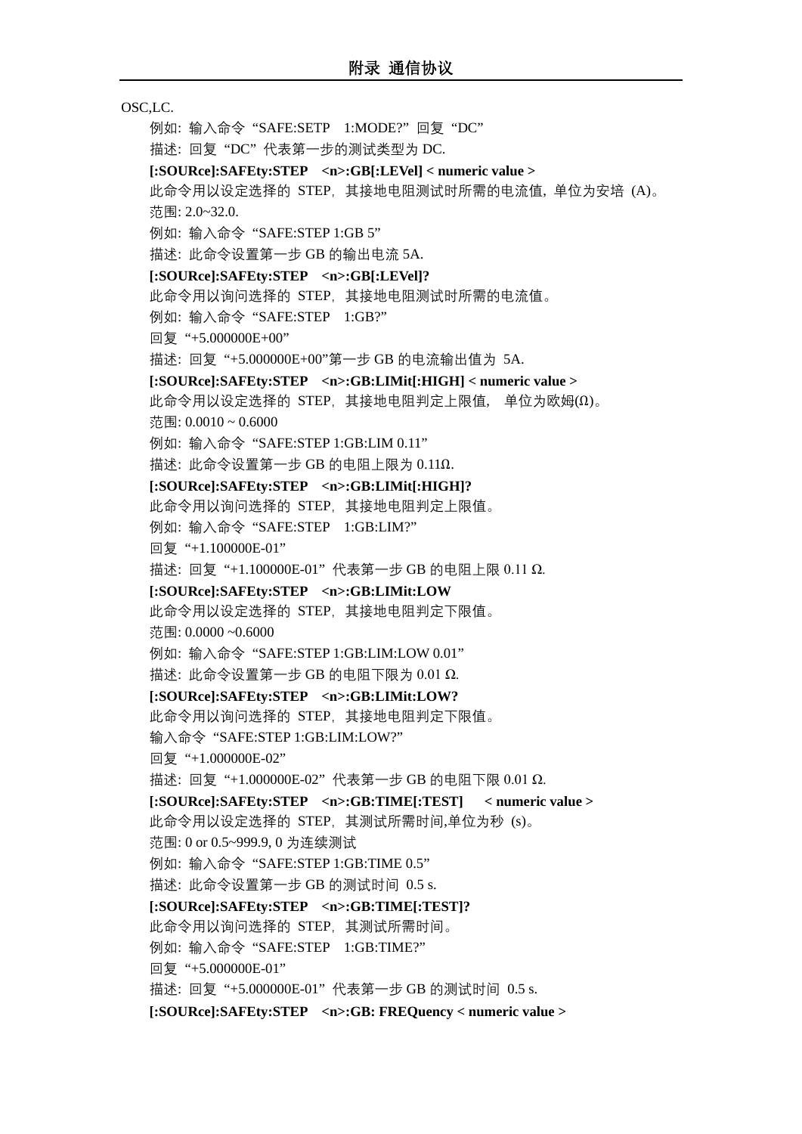# OSC,LC.

例如: 输入命令 "SAFE:SETP 1:MODE?" 回复 "DC" 描述: 回复 "DC" 代表第一步的测试类型为 DC. **[:SOURce]:SAFEty:STEP <n>:GB[:LEVel] < numeric value >** 此命令用以设定选择的 STEP, 其接地电阻测试时所需的电流值, 单位为安培 (A)。 范围: 2.0~32.0. 例如: 输入命令 "SAFE:STEP 1:GB 5" 描述: 此命令设置第一步 GB 的输出电流 5A. **[:SOURce]:SAFEty:STEP <n>:GB[:LEVel]?** 此命令用以询问选择的 STEP,其接地电阻测试时所需的电流值。 例如: 输入命令 "SAFE:STEP 1:GB?" 回复 "+5.000000E+00" 描述: 回复 "+5.000000E+00"第一步 GB 的电流输出值为 5A. **[:SOURce]:SAFEty:STEP <n>:GB:LIMit[:HIGH] < numeric value >** 此命令用以设定选择的 STEP,其接地电阻判定上限值, 单位为欧姆(Ω)。 范围: 0.0010 ~ 0.6000 例如: 输入命令 "SAFE:STEP 1:GB:LIM 0.11" 描述: 此命令设置第一步 GB 的电阻上限为 0.11Ω. **[:SOURce]:SAFEty:STEP <n>:GB:LIMit[:HIGH]?** 此命令用以询问选择的 STEP,其接地电阻判定上限值。 例如: 输入命令 "SAFE:STEP 1:GB:LIM?" 回复 "+1.100000E-01" 描述: 回复 "+1.100000E-01" 代表第一步 GB 的电阻上限 0.11 Ω. **[:SOURce]:SAFEty:STEP <n>:GB:LIMit:LOW** 此命令用以设定选择的 STEP,其接地电阻判定下限值。 范围: 0.0000 ~0.6000 例如: 输入命令 "SAFE:STEP 1:GB:LIM:LOW 0.01" 描述: 此命令设置第一步 GB 的电阻下限为 0.01 Ω. **[:SOURce]:SAFEty:STEP <n>:GB:LIMit:LOW?** 此命令用以询问选择的 STEP,其接地电阻判定下限值。 输入命令 "SAFE:STEP 1:GB:LIM:LOW?" 回复 "+1.000000E-02" 描述: 回复 "+1.000000E-02" 代表第一步 GB 的电阻下限 0.01 Ω. **[:SOURce]:SAFEty:STEP <n>:GB:TIME[:TEST] < numeric value >** 此命令用以设定选择的 STEP,其测试所需时间,单位为秒 (s)。 范围: 0 or 0.5~999.9, 0 为连续测试 例如: 输入命令 "SAFE:STEP 1:GB:TIME 0.5" 描述: 此命令设置第一步 GB 的测试时间 0.5 s. **[:SOURce]:SAFEty:STEP <n>:GB:TIME[:TEST]?**  此命令用以询问选择的 STEP,其测试所需时间。 例如: 输入命令 "SAFE:STEP 1:GB:TIME?" 回复 "+5.000000E-01" 描述: 回复 "+5.000000E-01" 代表第一步 GB 的测试时间 0.5 s. **[:SOURce]:SAFEty:STEP <n>:GB: FREQuency < numeric value >**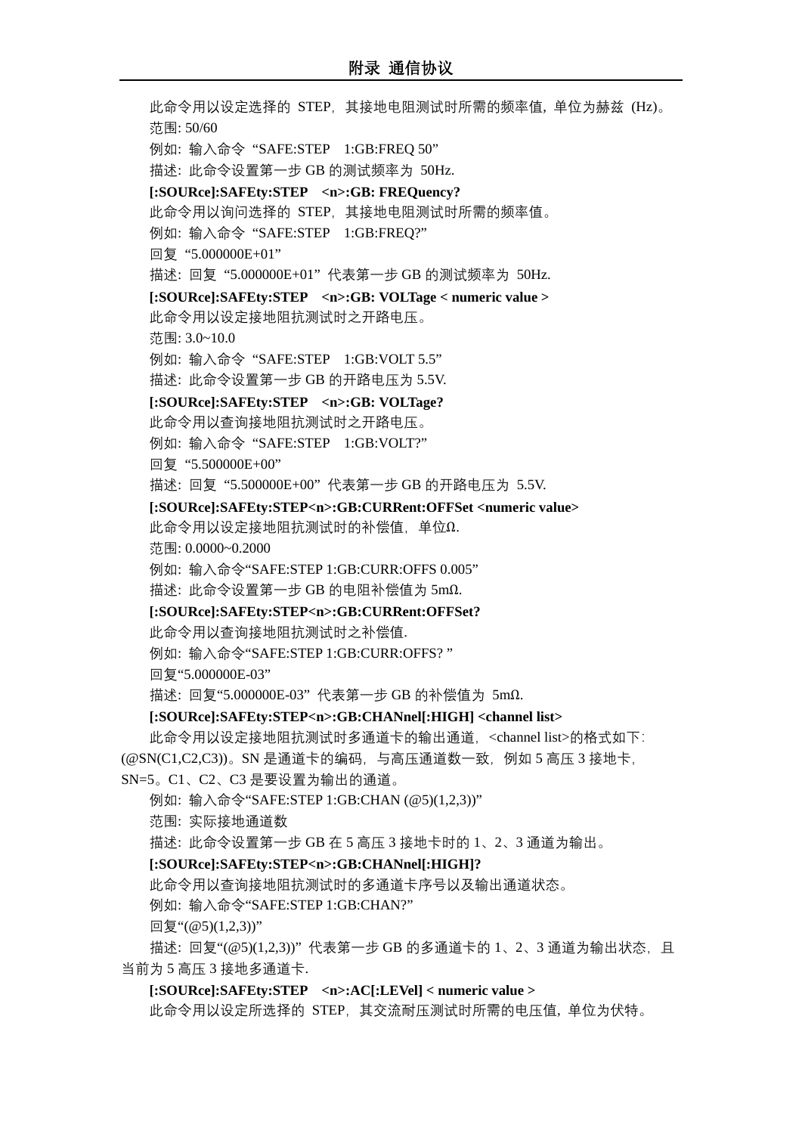此命令用以设定选择的 STEP, 其接地电阻测试时所需的频率值, 单位为赫兹 (Hz)。 范围: 50/60 例如: 输入命令 "SAFE:STEP 1:GB:FREQ 50" 描述: 此命令设置第一步 GB 的测试频率为 50Hz. **[:SOURce]:SAFEty:STEP <n>:GB: FREQuency?** 此命令用以询问选择的 STEP, 其接地电阻测试时所需的频率值。 例如: 输入命令 "SAFE:STEP 1:GB:FREQ?" 回复 "5.000000E+01" 描述: 回复 "5.000000E+01" 代表第一步 GB 的测试频率为 50Hz. **[:SOURce]:SAFEty:STEP <n>:GB: VOLTage < numeric value >** 此命令用以设定接地阻抗测试时之开路电压。 范围: 3.0~10.0 例如: 输入命令 "SAFE:STEP 1:GB:VOLT 5.5" 描述: 此命令设置第一步 GB 的开路电压为 5.5V. **[:SOURce]:SAFEty:STEP <n>:GB: VOLTage?** 此命令用以查询接地阻抗测试时之开路电压。 例如: 输入命令 "SAFE:STEP 1:GB:VOLT?" 回复 "5.500000E+00" 描述: 回复 "5.500000E+00" 代表第一步 GB 的开路电压为 5.5V. **[:SOURce]:SAFEty:STEP<n>:GB:CURRent:OFFSet <numeric value>** 此命令用以设定接地阻抗测试时的补偿值,单位Ω. 范围: 0.0000~0.2000 例如: 输入命令"SAFE:STEP 1:GB:CURR:OFFS 0.005" 描述: 此命令设置第一步 GB 的电阻补偿值为 5mΩ. **[:SOURce]:SAFEty:STEP<n>:GB:CURRent:OFFSet?** 此命令用以查询接地阻抗测试时之补偿值. 例如: 输入命令"SAFE:STEP 1:GB:CURR:OFFS? " 回复"5.000000E-03" 描述: 回复"5.000000E-03" 代表第一步 GB 的补偿值为 5mΩ. **[:SOURce]:SAFEty:STEP<n>:GB:CHANnel[:HIGH] <channel list>** 此命令用以设定接地阻抗测试时多通道卡的输出通道,<channel list>的格式如下: (@SN(C1,C2,C3))。SN 是通道卡的编码,与高压通道数一致,例如 5 高压 3 接地卡, SN=5。C1、C2、C3 是要设置为输出的通道。 例如: 输入命令"SAFE:STEP 1:GB:CHAN (@5)(1,2,3))" 范围: 实际接地通道数 描述: 此命令设置第一步 GB 在 5 高压 3 接地卡时的 1、2、3 通道为输出。 **[:SOURce]:SAFEty:STEP<n>:GB:CHANnel[:HIGH]?** 此命令用以查询接地阻抗测试时的多通道卡序号以及输出通道状态。 例如: 输入命令"SAFE:STEP 1:GB:CHAN?"

回复"(@5)(1,2,3))"

描述: 回复"(@5)(1,2,3))" 代表第一步 GB 的多通道卡的 1、2、3 通道为输出状态,且 当前为 5 高压 3 接地多通道卡.

**[:SOURce]:SAFEty:STEP <n>:AC[:LEVel] < numeric value >**

此命令用以设定所选择的 STEP,其交流耐压测试时所需的电压值, 单位为伏特。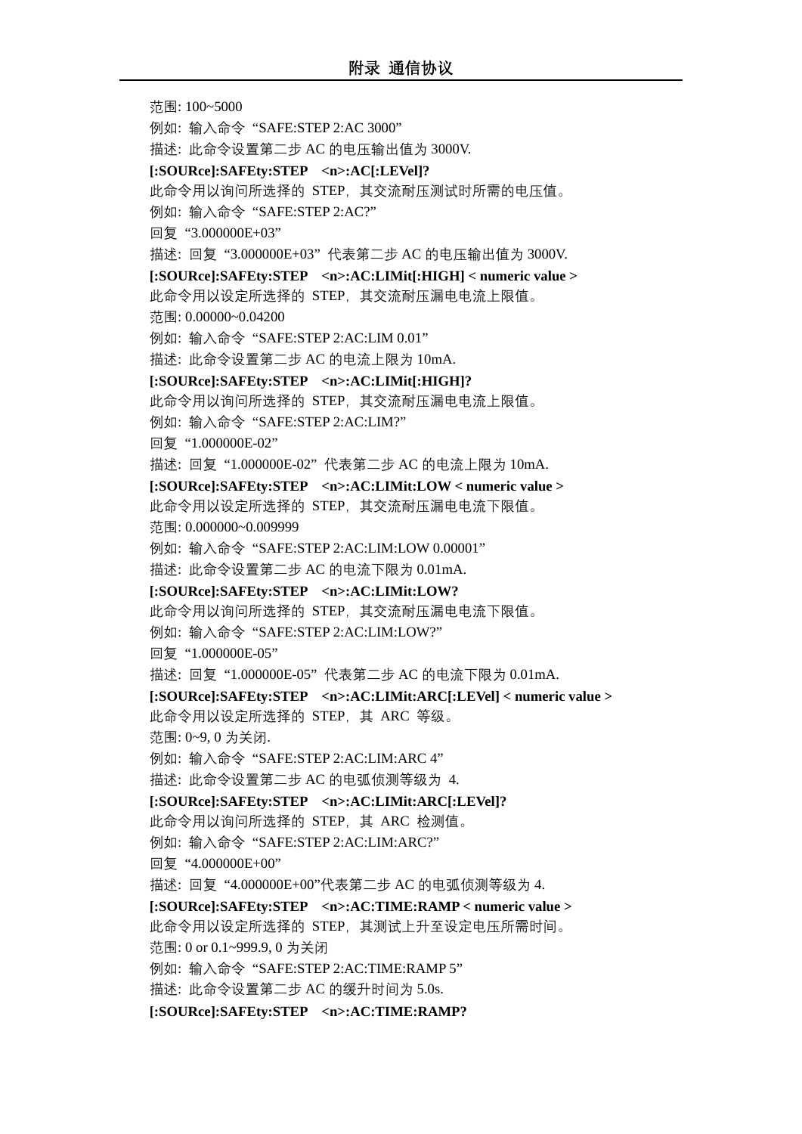范围: 100~5000 例如: 输入命令 "SAFE:STEP 2:AC 3000" 描述: 此命令设置第二步 AC 的电压输出值为 3000V. **[:SOURce]:SAFEty:STEP <n>:AC[:LEVel]?** 此命令用以询问所选择的 STEP,其交流耐压测试时所需的电压值。 例如: 输入命令 "SAFE:STEP 2:AC?" 回复 "3.000000E+03" 描述: 回复 "3.000000E+03" 代表第二步 AC 的电压输出值为 3000V. **[:SOURce]:SAFEty:STEP <n>:AC:LIMit[:HIGH] < numeric value >** 此命令用以设定所选择的 STEP,其交流耐压漏电电流上限值。 范围: 0.00000~0.04200 例如: 输入命令 "SAFE:STEP 2:AC:LIM 0.01" 描述: 此命令设置第二步 AC 的电流上限为 10mA. **[:SOURce]:SAFEty:STEP <n>:AC:LIMit[:HIGH]?** 此命令用以询问所选择的 STEP,其交流耐压漏电电流上限值。 例如: 输入命令 "SAFE:STEP 2:AC:LIM?" 回复 "1.000000E-02" 描述: 回复 "1.000000E-02" 代表第二步 AC 的电流上限为 10mA. **[:SOURce]:SAFEty:STEP <n>:AC:LIMit:LOW < numeric value >** 此命令用以设定所选择的 STEP,其交流耐压漏电电流下限值。 范围: 0.000000~0.009999 例如: 输入命令 "SAFE:STEP 2:AC:LIM:LOW 0.00001" 描述: 此命令设置第二步 AC 的电流下限为 0.01mA. **[:SOURce]:SAFEty:STEP <n>:AC:LIMit:LOW?** 此命令用以询问所选择的 STEP,其交流耐压漏电电流下限值。 例如: 输入命令 "SAFE:STEP 2:AC:LIM:LOW?" 回复 "1.000000E-05" 描述: 回复 "1.000000E-05" 代表第二步 AC 的电流下限为 0.01mA. **[:SOURce]:SAFEty:STEP <n>:AC:LIMit:ARC[:LEVel] < numeric value >** 此命令用以设定所选择的 STEP,其 ARC 等级。 范围: 0~9, 0 为关闭. 例如: 输入命令 "SAFE:STEP 2:AC:LIM:ARC 4" 描述: 此命令设置第二步 AC 的电弧侦测等级为 4. **[:SOURce]:SAFEty:STEP <n>:AC:LIMit:ARC[:LEVel]?** 此命令用以询问所选择的 STEP,其 ARC 检测值。 例如: 输入命令 "SAFE:STEP 2:AC:LIM:ARC?" 回复 "4.000000E+00" 描述: 回复 "4.000000E+00"代表第二步 AC 的电弧侦测等级为 4. **[:SOURce]:SAFEty:STEP <n>:AC:TIME:RAMP < numeric value >** 此命令用以设定所选择的 STEP, 其测试上升至设定电压所需时间。 范围: 0 or 0.1~999.9, 0 为关闭 例如: 输入命令 "SAFE:STEP 2:AC:TIME:RAMP 5" 描述: 此命令设置第二步 AC 的缓升时间为 5.0s. **[:SOURce]:SAFEty:STEP <n>:AC:TIME:RAMP?**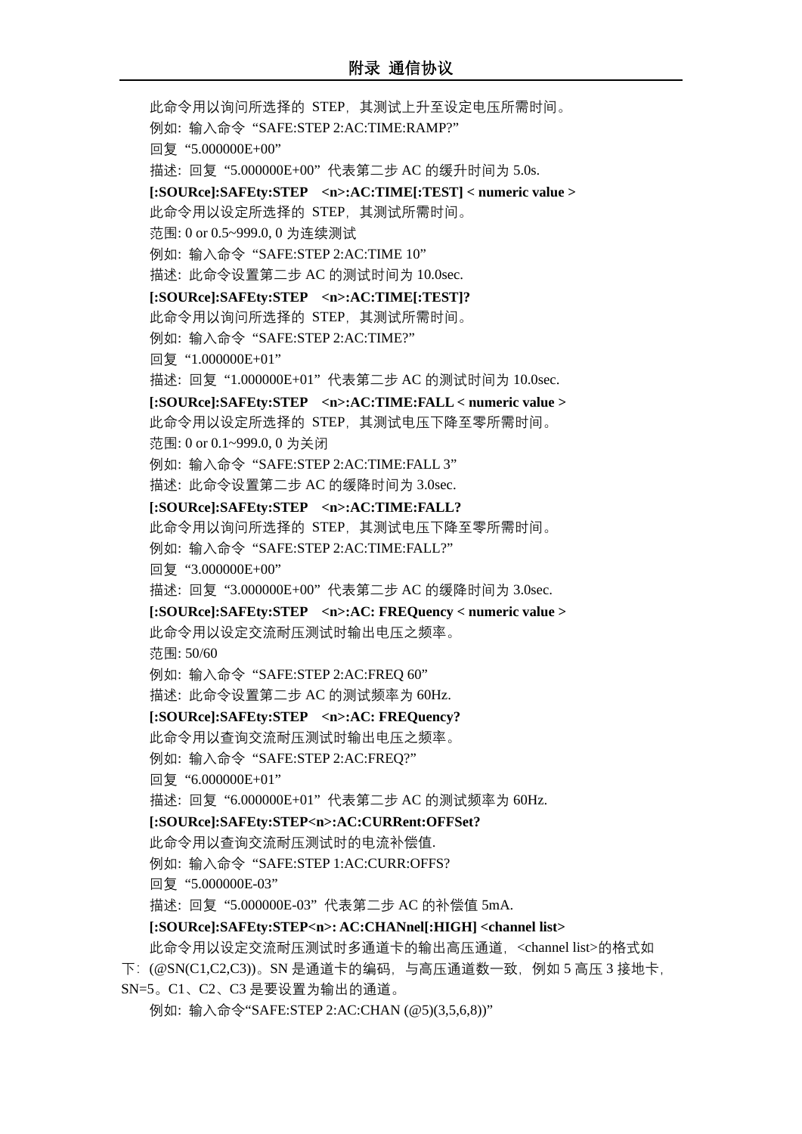此命令用以询问所选择的 STEP,其测试上升至设定电压所需时间。 例如: 输入命令 "SAFE:STEP 2:AC:TIME:RAMP?" 回复 "5.000000E+00" 描述: 回复 "5.000000E+00" 代表第二步 AC 的缓升时间为 5.0s. **[:SOURce]:SAFEty:STEP <n>:AC:TIME[:TEST] < numeric value >** 此命令用以设定所选择的 STEP,其测试所需时间。 范围: 0 or 0.5~999.0, 0 为连续测试 例如: 输入命令 "SAFE:STEP 2:AC:TIME 10" 描述: 此命令设置第二步 AC 的测试时间为 10.0sec. **[:SOURce]:SAFEty:STEP <n>:AC:TIME[:TEST]?**  此命令用以询问所选择的 STEP,其测试所需时间。 例如: 输入命令 "SAFE:STEP 2:AC:TIME?" 回复 "1.000000E+01" 描述: 回复 "1.000000E+01" 代表第二步 AC 的测试时间为 10.0sec. **[:SOURce]:SAFEty:STEP <n>:AC:TIME:FALL < numeric value >** 此命令用以设定所选择的 STEP,其测试电压下降至零所需时间。 范围: 0 or 0.1~999.0, 0 为关闭 例如: 输入命令 "SAFE:STEP 2:AC:TIME:FALL 3" 描述: 此命令设置第二步 AC 的缓降时间为 3.0sec. **[:SOURce]:SAFEty:STEP <n>:AC:TIME:FALL?** 此命令用以询问所选择的 STEP,其测试电压下降至零所需时间。 例如: 输入命令 "SAFE:STEP 2:AC:TIME:FALL?" 回复 "3.000000E+00" 描述: 回复 "3.000000E+00" 代表第二步 AC 的缓降时间为 3.0sec. **[:SOURce]:SAFEty:STEP <n>:AC: FREQuency < numeric value >** 此命令用以设定交流耐压测试时输出电压之频率。 范围: 50/60 例如: 输入命令 "SAFE:STEP 2:AC:FREQ 60" 描述: 此命令设置第二步 AC 的测试频率为 60Hz. **[:SOURce]:SAFEty:STEP <n>:AC: FREQuency?** 此命令用以查询交流耐压测试时输出电压之频率。 例如: 输入命令 "SAFE:STEP 2:AC:FREQ?" 回复 "6.000000E+01" 描述: 回复 "6.000000E+01" 代表第二步 AC 的测试频率为 60Hz. **[:SOURce]:SAFEty:STEP<n>:AC:CURRent:OFFSet?** 此命令用以查询交流耐压测试时的电流补偿值. 例如: 输入命令 "SAFE:STEP 1:AC:CURR:OFFS? 回复 "5.000000E-03" 描述: 回复 "5.000000E-03" 代表第二步 AC 的补偿值 5mA. **[:SOURce]:SAFEty:STEP<n>: AC:CHANnel[:HIGH] <channel list>** 此命令用以设定交流耐压测试时多通道卡的输出高压通道,<channel list>的格式如 下:(@SN(C1,C2,C3))。SN 是通道卡的编码,与高压通道数一致,例如 5 高压 3 接地卡, SN=5。C1、C2、C3 是要设置为输出的通道。

例如: 输入命令"SAFE:STEP 2:AC:CHAN (@5)(3,5,6,8))"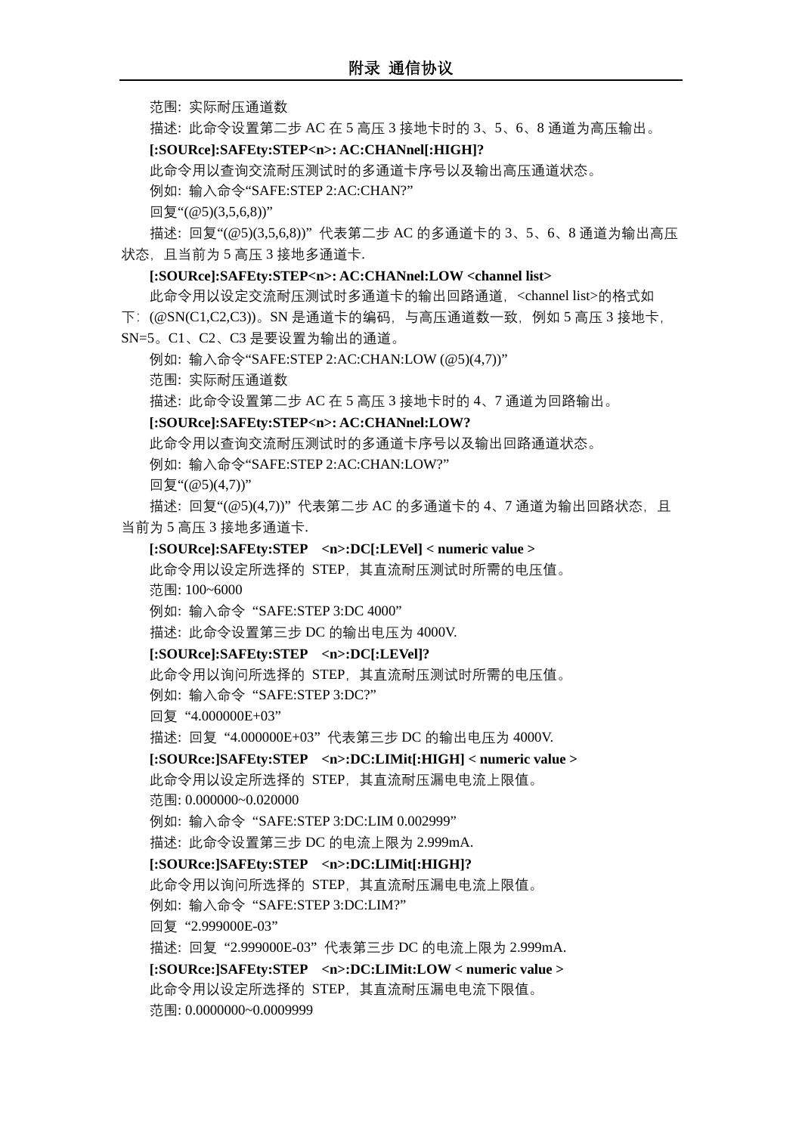范围: 实际耐压通道数

描述: 此命令设置第二步 AC 在 5 高压 3 接地卡时的 3、5、6、8 通道为高压输出。

**[:SOURce]:SAFEty:STEP<n>: AC:CHANnel[:HIGH]?**

此命令用以查询交流耐压测试时的多通道卡序号以及输出高压通道状态。

例如: 输入命令"SAFE:STEP 2:AC:CHAN?"

回复"(@5)(3,5,6,8))"

描述: 回复"(@5)(3,5,6,8))" 代表第二步 AC 的多通道卡的 3、5、6、8 通道为输出高压 状态, 且当前为 5 高压 3 接地多通道卡.

#### **[:SOURce]:SAFEty:STEP<n>: AC:CHANnel:LOW <channel list>**

此命令用以设定交流耐压测试时多通道卡的输出回路通道,<channel list>的格式如

 $\Gamma$ :  $(\text{@SN}(C1, C2, C3))$ 。SN 是通道卡的编码, 与高压通道数一致, 例如 5 高压 3 接地卡,

SN=5。C1、C2、C3 是要设置为输出的通道。

例如: 输入命令"SAFE:STEP 2:AC:CHAN:LOW (@5)(4,7))"

范围: 实际耐压通道数

描述: 此命令设置第二步 AC 在 5 高压 3 接地卡时的 4、7 通道为回路输出。

#### **[:SOURce]:SAFEty:STEP<n>: AC:CHANnel:LOW?**

此命令用以查询交流耐压测试时的多通道卡序号以及输出回路通道状态。

例如: 输入命令"SAFE:STEP 2:AC:CHAN:LOW?"

回复"(@5)(4,7))"

描述: 回复"(@5)(4,7))"代表第二步 AC 的多通道卡的 4、7 通道为输出回路状态, 且 当前为 5 高压 3 接地多通道卡.

#### **[:SOURce]:SAFEty:STEP <n>:DC[:LEVel] < numeric value >**

此命令用以设定所选择的 STEP,其直流耐压测试时所需的电压值。

范围: 100~6000

例如: 输入命令 "SAFE:STEP 3:DC 4000"

描述: 此命令设置第三步 DC 的输出电压为 4000V.

#### **[:SOURce]:SAFEty:STEP <n>:DC[:LEVel]?**

此命令用以询问所选择的 STEP,其直流耐压测试时所需的电压值。

例如: 输入命令 "SAFE:STEP 3:DC?"

回复 "4.000000E+03"

描述: 回复 "4.000000E+03" 代表第三步 DC 的输出电压为 4000V.

**[:SOURce:]SAFEty:STEP <n>:DC:LIMit[:HIGH] < numeric value >**

此命令用以设定所选择的 STEP,其直流耐压漏电电流上限值。 范围: 0.000000~0.020000

例如: 输入命令 "SAFE:STEP 3:DC:LIM 0.002999"

描述: 此命令设置第三步 DC 的电流上限为 2.999mA.

#### **[:SOURce:]SAFEty:STEP <n>:DC:LIMit[:HIGH]?**

此命令用以询问所选择的 STEP,其直流耐压漏电电流上限值。

例如: 输入命令 "SAFE:STEP 3:DC:LIM?"

回复 "2.999000E-03"

描述: 回复 "2.999000E-03" 代表第三步 DC 的电流上限为 2.999mA.

**[:SOURce:]SAFEty:STEP <n>:DC:LIMit:LOW < numeric value >** 此命令用以设定所选择的 STEP,其直流耐压漏电电流下限值。 范围: 0.0000000~0.0009999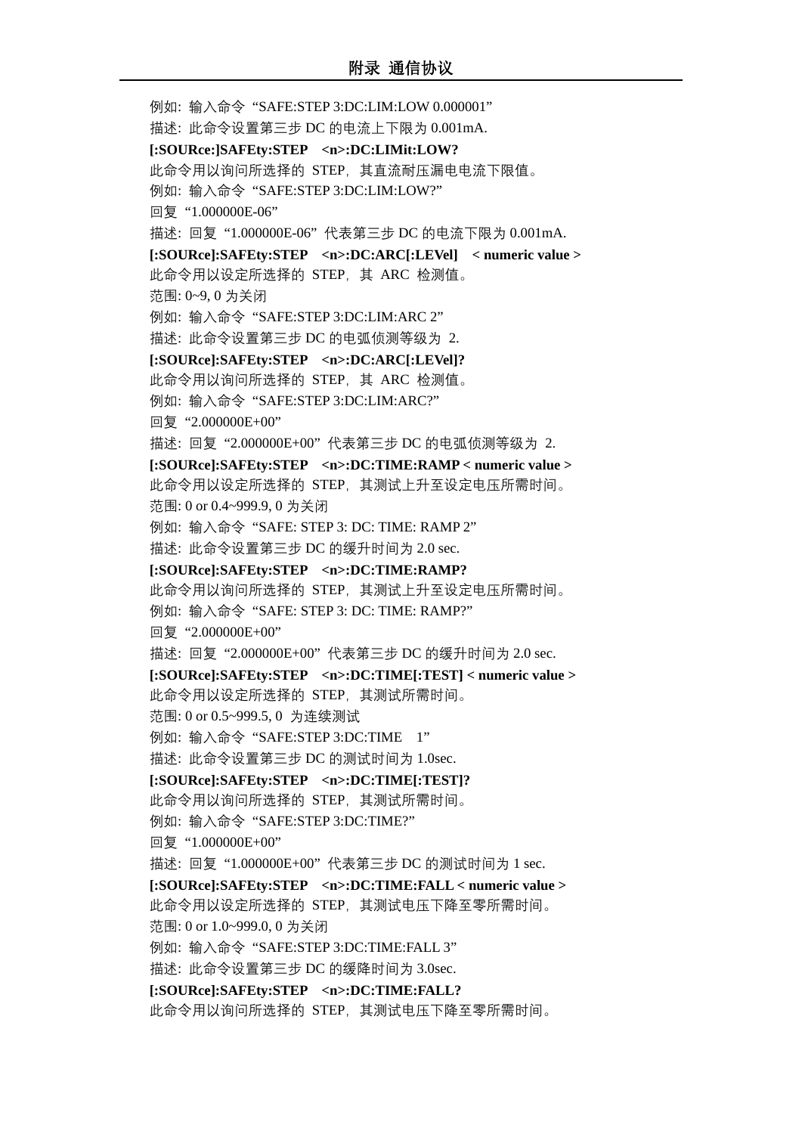例如: 输入命令 "SAFE:STEP 3:DC:LIM:LOW 0.000001" 描述: 此命令设置第三步 DC 的电流上下限为 0.001mA. **[:SOURce:]SAFEty:STEP <n>:DC:LIMit:LOW?**  此命令用以询问所选择的 STEP,其直流耐压漏电电流下限值。 例如: 输入命令 "SAFE:STEP 3:DC:LIM:LOW?" 回复 "1.000000E-06" 描述: 回复 "1.000000E-06" 代表第三步 DC 的电流下限为 0.001mA. **[:SOURce]:SAFEty:STEP <n>:DC:ARC[:LEVel] < numeric value >** 此命令用以设定所选择的 STEP,其 ARC 检测值。 范围: 0~9, 0 为关闭 例如: 输入命令 "SAFE:STEP 3:DC:LIM:ARC 2" 描述: 此命令设置第三步 DC 的电弧侦测等级为 2. **[:SOURce]:SAFEty:STEP <n>:DC:ARC[:LEVel]?** 此命令用以询问所选择的 STEP,其 ARC 检测值。 例如: 输入命令 "SAFE:STEP 3:DC:LIM:ARC?" 回复 "2.000000E+00" 描述: 回复 "2.000000E+00" 代表第三步 DC 的电弧侦测等级为 2. **[:SOURce]:SAFEty:STEP <n>:DC:TIME:RAMP < numeric value >** 此命令用以设定所选择的 STEP,其测试上升至设定电压所需时间。 范围: 0 or 0.4~999.9, 0 为关闭 例如: 输入命令 "SAFE: STEP 3: DC: TIME: RAMP 2" 描述: 此命令设置第三步 DC 的缓升时间为 2.0 sec. **[:SOURce]:SAFEty:STEP <n>:DC:TIME:RAMP?** 此命令用以询问所选择的 STEP,其测试上升至设定电压所需时间。 例如: 输入命令 "SAFE: STEP 3: DC: TIME: RAMP?" 回复 "2.000000E+00" 描述: 回复 "2.000000E+00" 代表第三步 DC 的缓升时间为 2.0 sec. **[:SOURce]:SAFEty:STEP <n>:DC:TIME[:TEST] < numeric value >** 此命令用以设定所选择的 STEP,其测试所需时间。 范围: 0 or 0.5~999.5, 0 为连续测试 例如: 输入命令 "SAFE:STEP 3:DC:TIME 1" 描述: 此命令设置第三步 DC 的测试时间为 1.0sec. **[:SOURce]:SAFEty:STEP <n>:DC:TIME[:TEST]?**  此命令用以询问所选择的 STEP,其测试所需时间。 例如: 输入命令 "SAFE:STEP 3:DC:TIME?" 回复 "1.000000E+00" 描述: 回复 "1.000000E+00" 代表第三步 DC 的测试时间为 1 sec. **[:SOURce]:SAFEty:STEP <n>:DC:TIME:FALL < numeric value >** 此命令用以设定所选择的 STEP, 其测试电压下降至零所需时间。 范围: 0 or 1.0~999.0, 0 为关闭 例如: 输入命令 "SAFE:STEP 3:DC:TIME:FALL 3" 描述: 此命令设置第三步 DC 的缓降时间为 3.0sec. **[:SOURce]:SAFEty:STEP <n>:DC:TIME:FALL?** 此命令用以询问所选择的 STEP,其测试电压下降至零所需时间。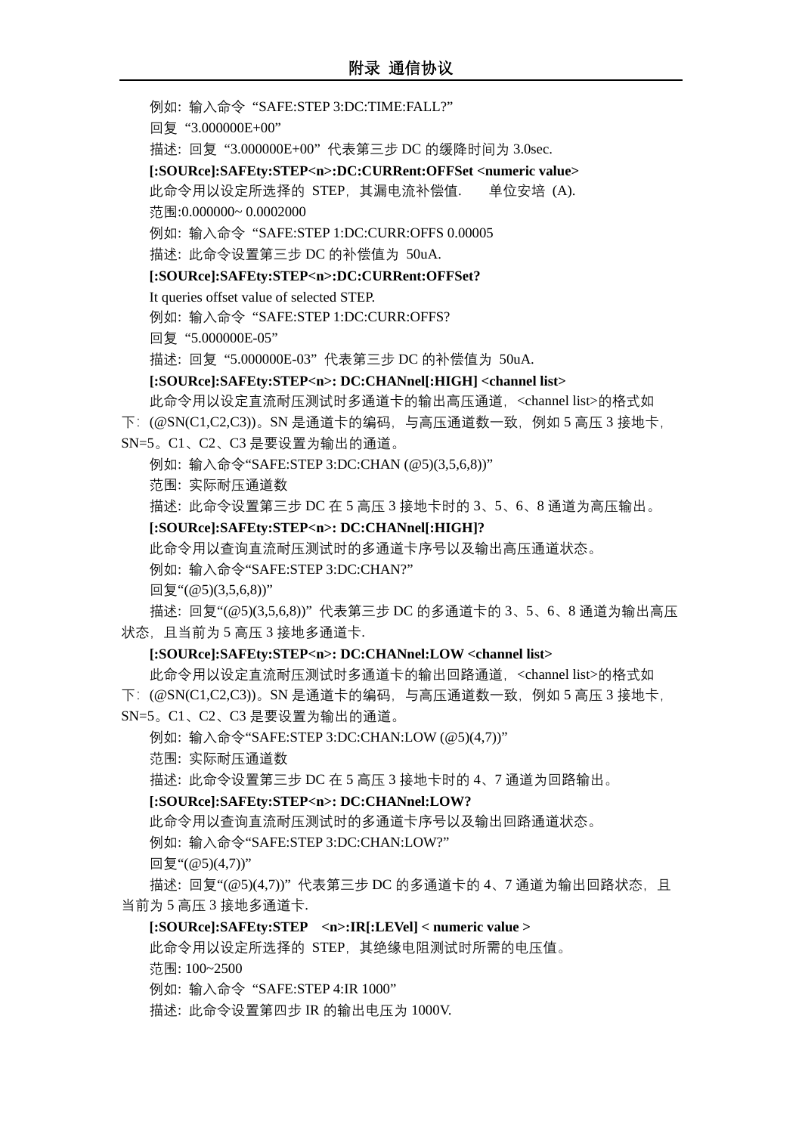例如: 输入命令 "SAFE:STEP 3:DC:TIME:FALL?"

回复 "3.000000E+00"

描述: 回复 "3.000000E+00" 代表第三步 DC 的缓降时间为 3.0sec.

**[:SOURce]:SAFEty:STEP<n>:DC:CURRent:OFFSet <numeric value>**

此命令用以设定所选择的 STEP, 其漏电流补偿值. 单位安培 (A). 范围:0.000000~ 0.0002000

例如: 输入命令 "SAFE:STEP 1:DC:CURR:OFFS 0.00005

描述: 此命令设置第三步 DC 的补偿值为 50uA.

#### **[:SOURce]:SAFEty:STEP<n>:DC:CURRent:OFFSet?**

It queries offset value of selected STEP.

例如: 输入命令 "SAFE:STEP 1:DC:CURR:OFFS?

回复 "5.000000E-05"

描述: 回复 "5.000000E-03" 代表第三步 DC 的补偿值为 50uA.

#### **[:SOURce]:SAFEty:STEP<n>: DC:CHANnel[:HIGH] <channel list>**

此命令用以设定直流耐压测试时多通道卡的输出高压通道,<channel list>的格式如 下:  $(@SN(C1, C2, C3))$ 。SN 是通道卡的编码, 与高压通道数一致, 例如 5 高压 3 接地卡,

SN=5。C1、C2、C3 是要设置为输出的通道。

例如: 输入命令"SAFE:STEP 3:DC:CHAN (@5)(3,5,6,8))"

范围: 实际耐压通道数

描述: 此命令设置第三步 DC 在 5 高压 3 接地卡时的 3、5、6、8 通道为高压输出。

#### **[:SOURce]:SAFEty:STEP<n>: DC:CHANnel[:HIGH]?**

此命令用以查询直流耐压测试时的多通道卡序号以及输出高压通道状态。

例如: 输入命令"SAFE:STEP 3:DC:CHAN?"

 $\Box$ 复"(@5)(3,5,6,8))"

描述: 回复"(@5)(3,5,6,8))" 代表第三步 DC 的多通道卡的 3、5、6、8 通道为输出高压 状态,且当前为 5 高压 3 接地多通道卡.

#### **[:SOURce]:SAFEty:STEP<n>: DC:CHANnel:LOW <channel list>**

此命令用以设定直流耐压测试时多通道卡的输出回路通道,<channel list>的格式如

下: (@SN(C1,C2,C3))。SN 是通道卡的编码, 与高压通道数一致, 例如 5 高压 3 接地卡,

SN=5。C1、C2、C3 是要设置为输出的通道。

例如: 输入命令"SAFE:STEP 3:DC:CHAN:LOW (@5)(4,7))"

范围: 实际耐压通道数

描述: 此命令设置第三步 DC 在 5 高压 3 接地卡时的 4、7 通道为回路输出。

#### **[:SOURce]:SAFEty:STEP<n>: DC:CHANnel:LOW?**

此命令用以查询直流耐压测试时的多通道卡序号以及输出回路通道状态。

例如: 输入命令"SAFE:STEP 3:DC:CHAN:LOW?"

回复"(@5)(4,7))"

描述: 回复"(@5)(4,7))"代表第三步 DC 的多通道卡的 4、7 通道为输出回路状态, 且 当前为 5 高压 3 接地多通道卡.

#### **[:SOURce]:SAFEty:STEP <n>:IR[:LEVel] < numeric value >**

此命令用以设定所选择的 STEP,其绝缘电阻测试时所需的电压值。

范围: 100~2500

例如: 输入命令 "SAFE:STEP 4:IR 1000"

描述: 此命令设置第四步 IR 的输出电压为 1000V.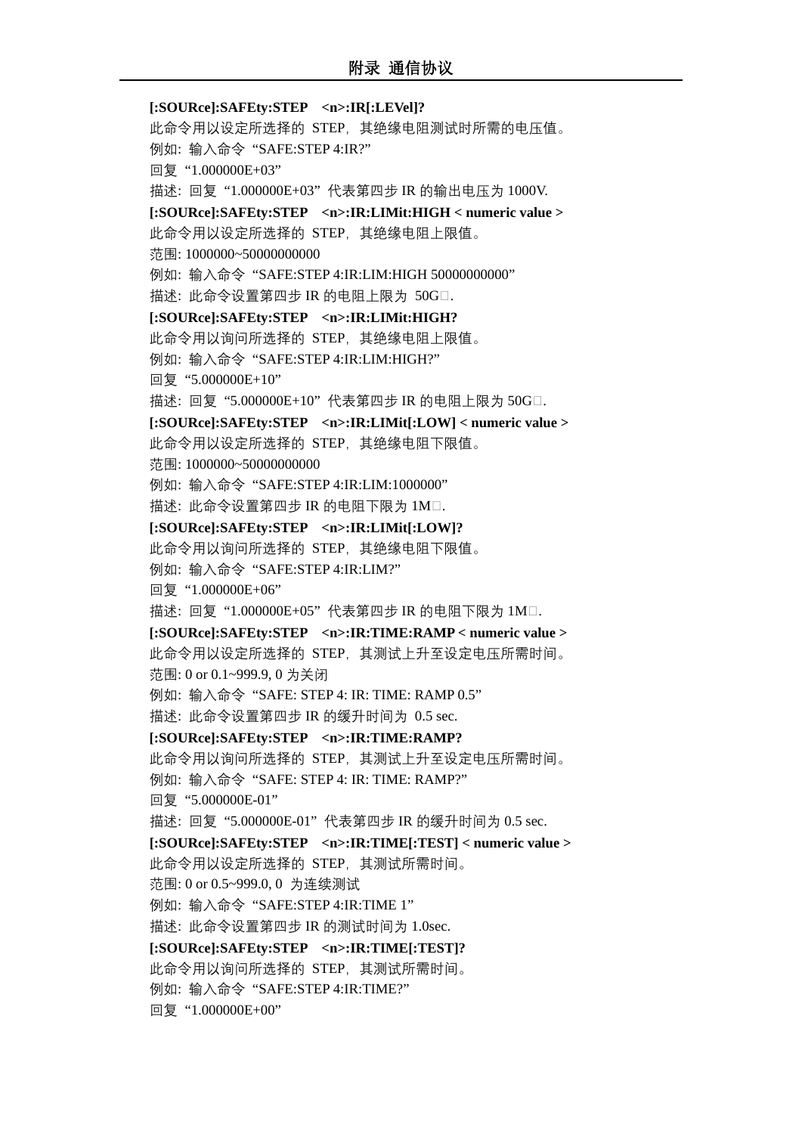**[:SOURce]:SAFEty:STEP <n>:IR[:LEVel]?** 此命令用以设定所选择的 STEP,其绝缘电阻测试时所需的电压值。 例如: 输入命令 "SAFE:STEP 4:IR?" 回复 "1.000000E+03" 描述: 回复 "1.000000E+03" 代表第四步 IR 的输出电压为 1000V. **[:SOURce]:SAFEty:STEP <n>:IR:LIMit:HIGH < numeric value >** 此命令用以设定所选择的 STEP,其绝缘电阻上限值。 范围: 1000000~50000000000 例如: 输入命令 "SAFE:STEP 4:IR:LIM:HIGH 50000000000" 描述: 此命令设置第四步 IR 的电阻上限为 50G□. **[:SOURce]:SAFEty:STEP <n>:IR:LIMit:HIGH?** 此命令用以询问所选择的 STEP,其绝缘电阻上限值。 例如: 输入命令 "SAFE:STEP 4:IR:LIM:HIGH?" 回复 "5.000000E+10" 描述: 回复 "5.000000E+10"代表第四步 IR 的电阻上限为 50G□. **[:SOURce]:SAFEty:STEP <n>:IR:LIMit[:LOW] < numeric value >** 此命令用以设定所选择的 STEP,其绝缘电阻下限值。 范围: 1000000~50000000000 例如: 输入命令 "SAFE:STEP 4:IR:LIM:1000000" 描述: 此命令设置第四步 IR 的电阻下限为 1M□. **[:SOURce]:SAFEty:STEP <n>:IR:LIMit[:LOW]?** 此命令用以询问所选择的 STEP,其绝缘电阻下限值。 例如: 输入命令 "SAFE:STEP 4:IR:LIM?" 回复 "1.000000E+06" 描述: 回复 "1.000000E+05"代表第四步 IR 的电阻下限为 1M□. **[:SOURce]:SAFEty:STEP <n>:IR:TIME:RAMP < numeric value >** 此命令用以设定所选择的 STEP,其测试上升至设定电压所需时间。 范围: 0 or 0.1~999.9, 0 为关闭 例如: 输入命令 "SAFE: STEP 4: IR: TIME: RAMP 0.5" 描述: 此命令设置第四步 IR 的缓升时间为 0.5 sec. **[:SOURce]:SAFEty:STEP <n>:IR:TIME:RAMP?** 此命令用以询问所选择的 STEP,其测试上升至设定电压所需时间。 例如: 输入命令 "SAFE: STEP 4: IR: TIME: RAMP?" 回复 "5.000000E-01" 描述: 回复 "5.000000E-01" 代表第四步 IR 的缓升时间为 0.5 sec. **[:SOURce]:SAFEty:STEP <n>:IR:TIME[:TEST] < numeric value >** 此命令用以设定所选择的 STEP,其测试所需时间。 范围: 0 or 0.5~999.0, 0 为连续测试 例如: 输入命令 "SAFE:STEP 4:IR:TIME 1" 描述: 此命令设置第四步 IR 的测试时间为 1.0sec. **[:SOURce]:SAFEty:STEP <n>:IR:TIME[:TEST]?** 此命令用以询问所选择的 STEP,其测试所需时间。 例如: 输入命令 "SAFE:STEP 4:IR:TIME?" 回复 "1.000000E+00"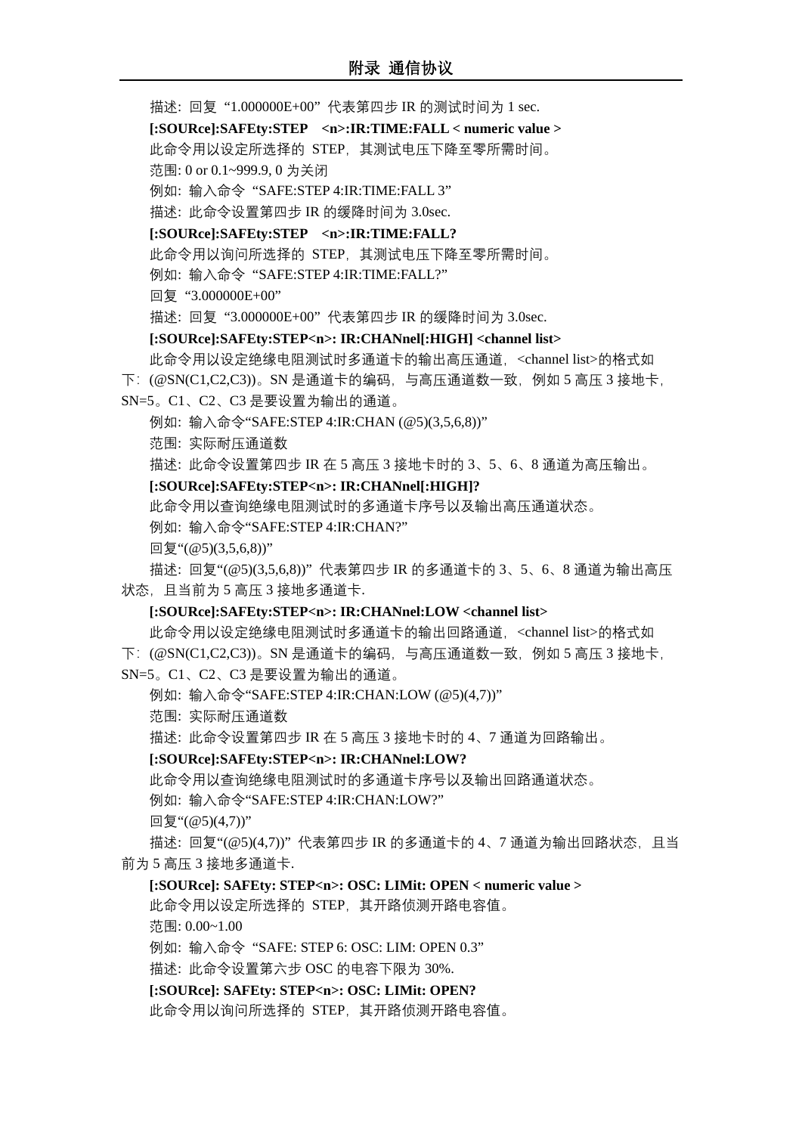描述: 回复 "1.000000E+00" 代表第四步 IR 的测试时间为 1 sec. **[:SOURce]:SAFEty:STEP <n>:IR:TIME:FALL < numeric value >** 此命令用以设定所选择的 STEP,其测试电压下降至零所需时间。 范围: 0 or 0.1~999.9, 0 为关闭 例如: 输入命令 "SAFE:STEP 4:IR:TIME:FALL 3" 描述: 此命令设置第四步 IR 的缓降时间为 3.0sec. **[:SOURce]:SAFEty:STEP <n>:IR:TIME:FALL?** 此命令用以询问所选择的 STEP,其测试电压下降至零所需时间。 例如: 输入命令 "SAFE:STEP 4:IR:TIME:FALL?" 回复 "3.000000E+00" 描述: 回复 "3.000000E+00" 代表第四步 IR 的缓降时间为 3.0sec. **[:SOURce]:SAFEty:STEP<n>: IR:CHANnel[:HIGH] <channel list>** 此命令用以设定绝缘电阻测试时多通道卡的输出高压通道,<channel list>的格式如 下:(@SN(C1,C2,C3))。SN 是通道卡的编码,与高压通道数一致,例如 5 高压 3 接地卡, SN=5。C1、C2、C3 是要设置为输出的通道。 例如: 输入命令"SAFE:STEP 4:IR:CHAN (@5)(3,5,6,8))" 范围: 实际耐压通道数 描述: 此命令设置第四步 IR 在 5 高压 3 接地卡时的 3、5、6、8 通道为高压输出。 **[:SOURce]:SAFEty:STEP<n>: IR:CHANnel[:HIGH]?** 此命令用以查询绝缘电阻测试时的多通道卡序号以及输出高压通道状态。 例如: 输入命令"SAFE:STEP 4:IR:CHAN?"  $\Box$ 复"(@5)(3,5,6,8))" 描述: 回复"(@5)(3,5,6,8))" 代表第四步 IR 的多通道卡的 3、5、6、8 通道为输出高压 状态,且当前为 5 高压 3 接地多通道卡. **[:SOURce]:SAFEty:STEP<n>: IR:CHANnel:LOW <channel list>** 此命令用以设定绝缘电阻测试时多通道卡的输出回路通道,<channel list>的格式如 下:  $(@SN(C1, C2, C3))$ 。SN 是通道卡的编码, 与高压通道数一致, 例如 5 高压 3 接地卡, SN=5。C1、C2、C3 是要设置为输出的通道。 例如: 输入命令"SAFE:STEP 4:IR:CHAN:LOW (@5)(4,7))" 范围: 实际耐压通道数 描述: 此命令设置第四步 IR 在 5 高压 3 接地卡时的 4、7 通道为回路输出。 **[:SOURce]:SAFEty:STEP<n>: IR:CHANnel:LOW?** 此命令用以查询绝缘电阻测试时的多通道卡序号以及输出回路通道状态。 例如: 输入命令"SAFE:STEP 4:IR:CHAN:LOW?" 回复"(@5)(4,7))" 描述: 回复"(@5)(4,7))"代表第四步 IR 的多通道卡的 4、7 通道为输出回路状态,且当 前为 5 高压 3 接地多通道卡. **[:SOURce]: SAFEty: STEP<n>: OSC: LIMit: OPEN < numeric value >** 此命令用以设定所选择的 STEP,其开路侦测开路电容值。

范围: 0.00~1.00

例如: 输入命令 "SAFE: STEP 6: OSC: LIM: OPEN 0.3"

描述: 此命令设置第六步 OSC 的电容下限为 30%.

**[:SOURce]: SAFEty: STEP<n>: OSC: LIMit: OPEN?**

此命令用以询问所选择的 STEP,其开路侦测开路电容值。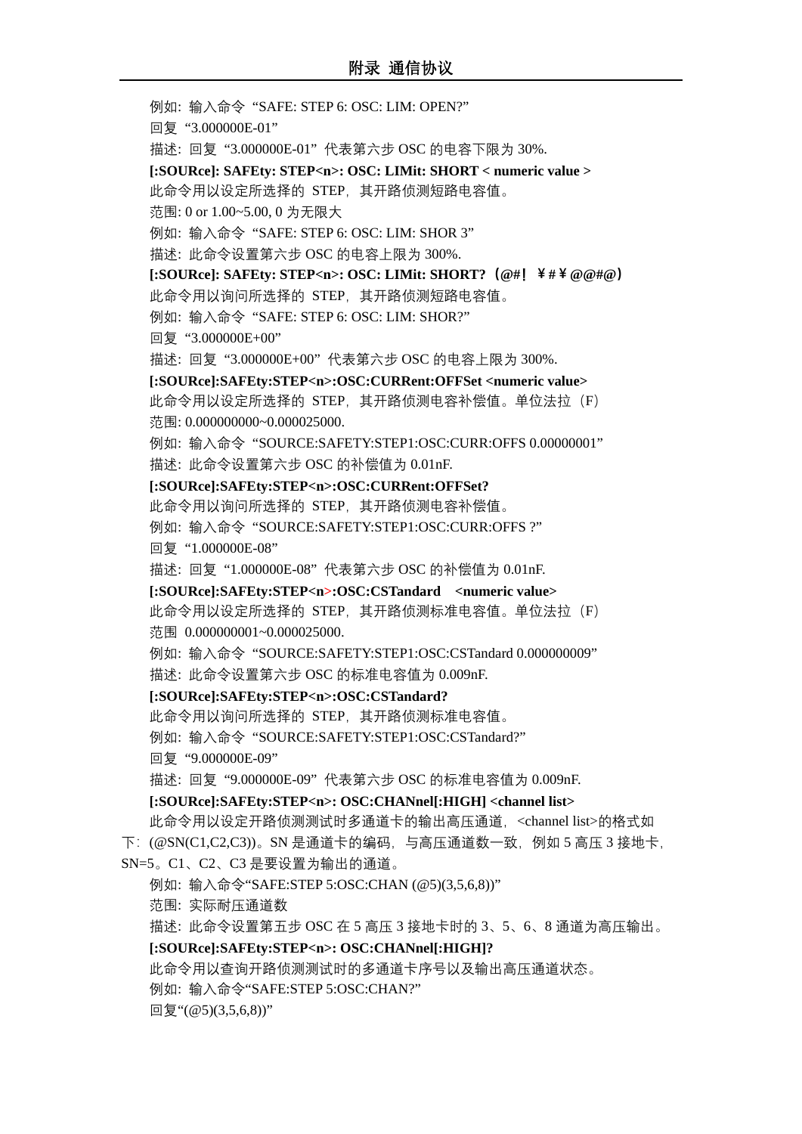例如: 输入命令 "SAFE: STEP 6: OSC: LIM: OPEN?" 回复 "3.000000E-01" 描述: 回复 "3.000000E-01" 代表第六步 OSC 的电容下限为 30%. **[:SOURce]: SAFEty: STEP<n>: OSC: LIMit: SHORT < numeric value >** 此命令用以设定所选择的 STEP,其开路侦测短路电容值。 范围: 0 or 1.00~5.00, 0 为无限大 例如: 输入命令 "SAFE: STEP 6: OSC: LIM: SHOR 3" 描述: 此命令设置第六步 OSC 的电容上限为 300%. **[:SOURce]: SAFEty: STEP<n>: OSC: LIMit: SHORT?(@#!¥#¥@@#@)** 此命令用以询问所选择的 STEP,其开路侦测短路电容值。 例如: 输入命令 "SAFE: STEP 6: OSC: LIM: SHOR?" 回复 "3.000000E+00" 描述: 回复 "3.000000E+00" 代表第六步 OSC 的电容上限为 300%. **[:SOURce]:SAFEty:STEP<n>:OSC:CURRent:OFFSet <numeric value>** 此命令用以设定所选择的 STEP, 其开路侦测电容补偿值。单位法拉 (F) 范围: 0.000000000~0.000025000. 例如: 输入命令 "SOURCE:SAFETY:STEP1:OSC:CURR:OFFS 0.00000001" 描述: 此命令设置第六步 OSC 的补偿值为 0.01nF. **[:SOURce]:SAFEty:STEP<n>:OSC:CURRent:OFFSet?** 此命令用以询问所选择的 STEP,其开路侦测电容补偿值。 例如: 输入命令 "SOURCE:SAFETY:STEP1:OSC:CURR:OFFS ?" 回复 "1.000000E-08" 描述: 回复 "1.000000E-08" 代表第六步 OSC 的补偿值为 0.01nF. **[:SOURce]:SAFEty:STEP<n>:OSC:CSTandard <numeric value>** 此命令用以设定所选择的 STEP, 其开路侦测标准电容值。单位法拉(F) 范围 0.000000001~0.000025000. 例如: 输入命令 "SOURCE:SAFETY:STEP1:OSC:CSTandard 0.000000009" 描述: 此命令设置第六步 OSC 的标准电容值为 0.009nF. **[:SOURce]:SAFEty:STEP<n>:OSC:CSTandard?** 此命令用以询问所选择的 STEP,其开路侦测标准电容值。 例如: 输入命令 "SOURCE:SAFETY:STEP1:OSC:CSTandard?" 回复 "9.000000E-09" 描述: 回复 "9.000000E-09" 代表第六步 OSC 的标准电容值为 0.009nF. **[:SOURce]:SAFEty:STEP<n>: OSC:CHANnel[:HIGH] <channel list>** 此命令用以设定开路侦测测试时多通道卡的输出高压通道,<channel list>的格式如 下:  $($ @SN(C1,C2,C3))。SN 是通道卡的编码,与高压通道数一致,例如 5 高压 3 接地卡, SN=5。C1、C2、C3 是要设置为输出的通道。 例如: 输入命令"SAFE:STEP 5:OSC:CHAN (@5)(3,5,6,8))" 范围: 实际耐压通道数 描述: 此命令设置第五步 OSC 在 5 高压 3 接地卡时的 3、5、6、8 通道为高压输出。 **[:SOURce]:SAFEty:STEP<n>: OSC:CHANnel[:HIGH]?** 此命令用以查询开路侦测测试时的多通道卡序号以及输出高压通道状态。 例如: 输入命令"SAFE:STEP 5:OSC:CHAN?"

回复"(@5)(3,5,6,8))"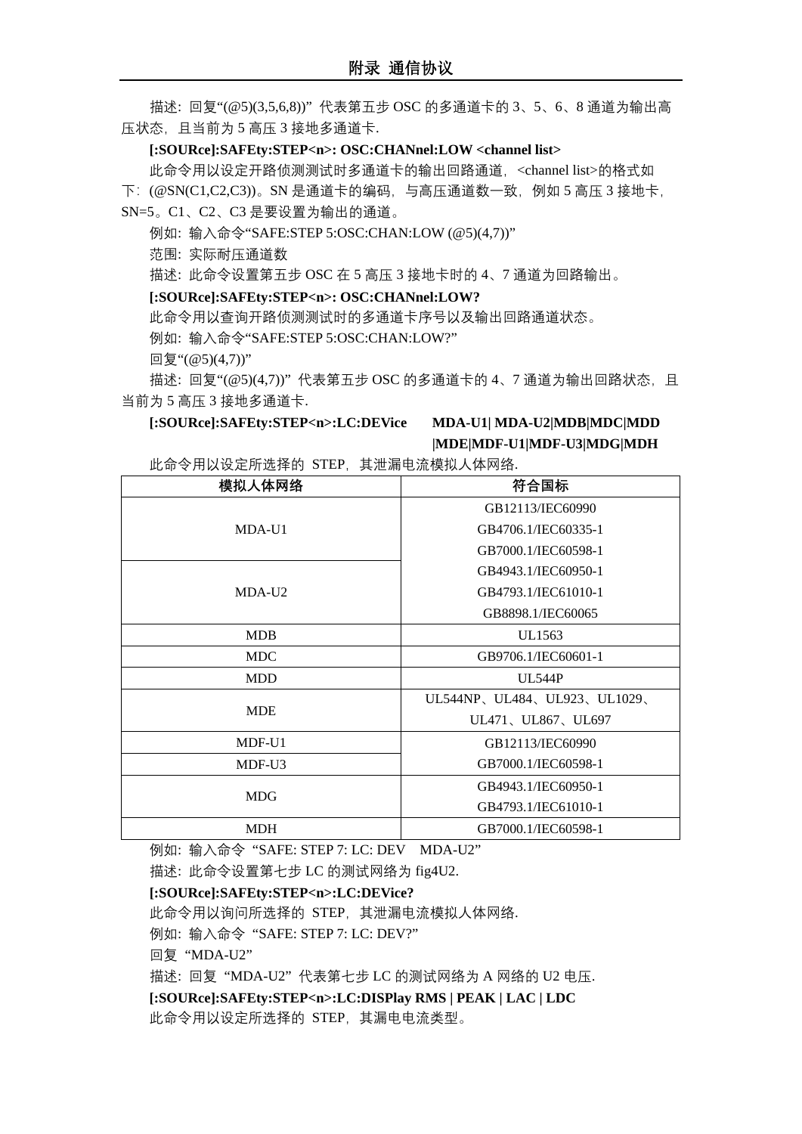描述: 回复"(@5)(3,5,6,8))" 代表第五步 OSC 的多通道卡的 3、5、6、8 通道为输出高 压状态,且当前为 5 高压 3 接地多通道卡.

#### **[:SOURce]:SAFEty:STEP<n>: OSC:CHANnel:LOW <channel list>**

此命令用以设定开路侦测测试时多通道卡的输出回路通道,<channel list>的格式如 下:(@SN(C1,C2,C3))。SN 是通道卡的编码,与高压通道数一致,例如 5 高压 3 接地卡, SN=5。C1、C2、C3 是要设置为输出的通道。

例如: 输入命令"SAFE:STEP 5:OSC:CHAN:LOW (@5)(4,7))"

范围: 实际耐压通道数

描述: 此命令设置第五步 OSC 在 5 高压 3 接地卡时的 4、7 通道为回路输出。

#### **[:SOURce]:SAFEty:STEP<n>: OSC:CHANnel:LOW?**

此命令用以查询开路侦测测试时的多通道卡序号以及输出回路通道状态。

例如: 输入命令"SAFE:STEP 5:OSC:CHAN:LOW?"

 $\Box$ 复"(@5)(4,7))"

描述: 回复"(@5)(4,7))" 代表第五步 OSC 的多通道卡的 4、7 通道为输出回路状态,且 当前为 5 高压 3 接地多通道卡.

#### **[:SOURce]:SAFEty:STEP<n>:LC:DEVice MDA-U1| MDA-U2|MDB|MDC|MDD**

# **|MDE|MDF-U1|MDF-U3|MDG|MDH**

此命令用以设定所选择的 STEP,其泄漏电流模拟人体网络.

| 模拟人体网络     | 符合国标                        |  |  |  |  |
|------------|-----------------------------|--|--|--|--|
|            | GB12113/IEC60990            |  |  |  |  |
| MDA-U1     | GB4706.1/IEC60335-1         |  |  |  |  |
|            | GB7000.1/IEC60598-1         |  |  |  |  |
|            | GB4943.1/IEC60950-1         |  |  |  |  |
| MDA-U2     | GB4793.1/IEC61010-1         |  |  |  |  |
|            | GB8898.1/IEC60065           |  |  |  |  |
| <b>MDB</b> | UL1563                      |  |  |  |  |
| <b>MDC</b> | GB9706.1/IEC60601-1         |  |  |  |  |
| <b>MDD</b> | <b>UL544P</b>               |  |  |  |  |
|            | UL544NP、UL484、UL923、UL1029、 |  |  |  |  |
| <b>MDE</b> | UL471、UL867、UL697           |  |  |  |  |
| MDF-U1     | GB12113/IEC60990            |  |  |  |  |
| MDF-U3     | GB7000.1/IEC60598-1         |  |  |  |  |
|            | GB4943.1/IEC60950-1         |  |  |  |  |
| <b>MDG</b> | GB4793.1/IEC61010-1         |  |  |  |  |
| <b>MDH</b> | GB7000.1/IEC60598-1         |  |  |  |  |

例如: 输入命令 "SAFE: STEP 7: LC: DEV MDA-U2"

描述: 此命令设置第七步 LC 的测试网络为 fig4U2.

## **[:SOURce]:SAFEty:STEP<n>:LC:DEVice?**

此命令用以询问所选择的 STEP, 其泄漏电流模拟人体网络.

例如: 输入命令 "SAFE: STEP 7: LC: DEV?"

回复 "MDA-U2"

描述: 回复 "MDA-U2" 代表第七步 LC 的测试网络为 A 网络的 U2 电压.

**[:SOURce]:SAFEty:STEP<n>:LC:DISPlay RMS | PEAK | LAC | LDC**

此命令用以设定所选择的 STEP,其漏电电流类型。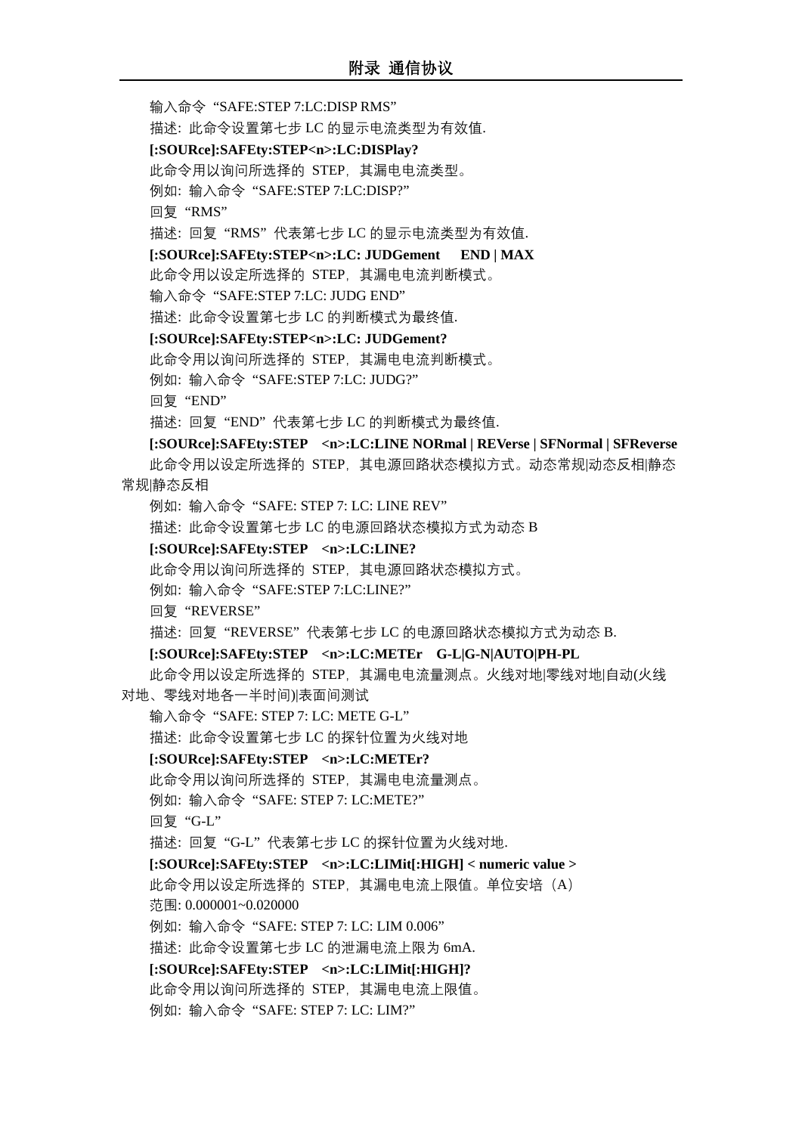输入命令 "SAFE:STEP 7:LC:DISP RMS"

**[:SOURce]:SAFEty:STEP<n>:LC:DISPlay?**

描述: 此命令设置第七步 LC 的显示电流类型为有效值.

此命令用以询问所选择的 STEP,其漏电电流类型。 例如: 输入命令 "SAFE:STEP 7:LC:DISP?" 回复 "RMS" 描述: 回复 "RMS" 代表第七步 LC 的显示电流类型为有效值. **[:SOURce]:SAFEty:STEP<n>:LC: JUDGement END | MAX** 此命令用以设定所选择的 STEP,其漏电电流判断模式。 输入命令 "SAFE:STEP 7:LC: JUDG END" 描述: 此命令设置第七步 LC 的判断模式为最终值. **[:SOURce]:SAFEty:STEP<n>:LC: JUDGement?** 此命令用以询问所选择的 STEP,其漏电电流判断模式。 例如: 输入命令 "SAFE:STEP 7:LC: JUDG?" 回复 "END" 描述: 回复 "END" 代表第七步 LC 的判断模式为最终值. **[:SOURce]:SAFEty:STEP <n>:LC:LINE NORmal | REVerse | SFNormal | SFReverse** 此命令用以设定所选择的 STEP, 其电源回路状态模拟方式。动态常规|动态反相|静态 常规|静态反相 例如: 输入命令 "SAFE: STEP 7: LC: LINE REV" 描述: 此命令设置第七步 LC 的电源回路状态模拟方式为动态 B **[:SOURce]:SAFEty:STEP <n>:LC:LINE?** 此命令用以询问所选择的 STEP,其电源回路状态模拟方式。 例如: 输入命令 "SAFE:STEP 7:LC:LINE?" 回复 "REVERSE" 描述: 回复 "REVERSE" 代表第七步 LC 的电源回路状态模拟方式为动态 B. **[:SOURce]:SAFEty:STEP <n>:LC:METEr G-L|G-N|AUTO|PH-PL** 此命令用以设定所选择的 STEP, 其漏电电流量测点。火线对地|零线对地|自动(火线 对地、零线对地各一半时间)|表面间测试 输入命令 "SAFE: STEP 7: LC: METE G-L" 描述: 此命令设置第七步 LC 的探针位置为火线对地 **[:SOURce]:SAFEty:STEP <n>:LC:METEr?** 此命令用以询问所选择的 STEP,其漏电电流量测点。 例如: 输入命令 "SAFE: STEP 7: LC:METE?" 回复 "G-L" 描述: 回复 "G-L" 代表第七步 LC 的探针位置为火线对地. **[:SOURce]:SAFEty:STEP <n>:LC:LIMit[:HIGH] < numeric value >** 此命令用以设定所选择的 STEP, 其漏电电流上限值。单位安培(A) 范围: 0.000001~0.020000 例如: 输入命令 "SAFE: STEP 7: LC: LIM 0.006" 描述: 此命令设置第七步 LC 的泄漏电流上限为 6mA. **[:SOURce]:SAFEty:STEP <n>:LC:LIMit[:HIGH]?** 此命令用以询问所选择的 STEP,其漏电电流上限值。 例如: 输入命令 "SAFE: STEP 7: LC: LIM?"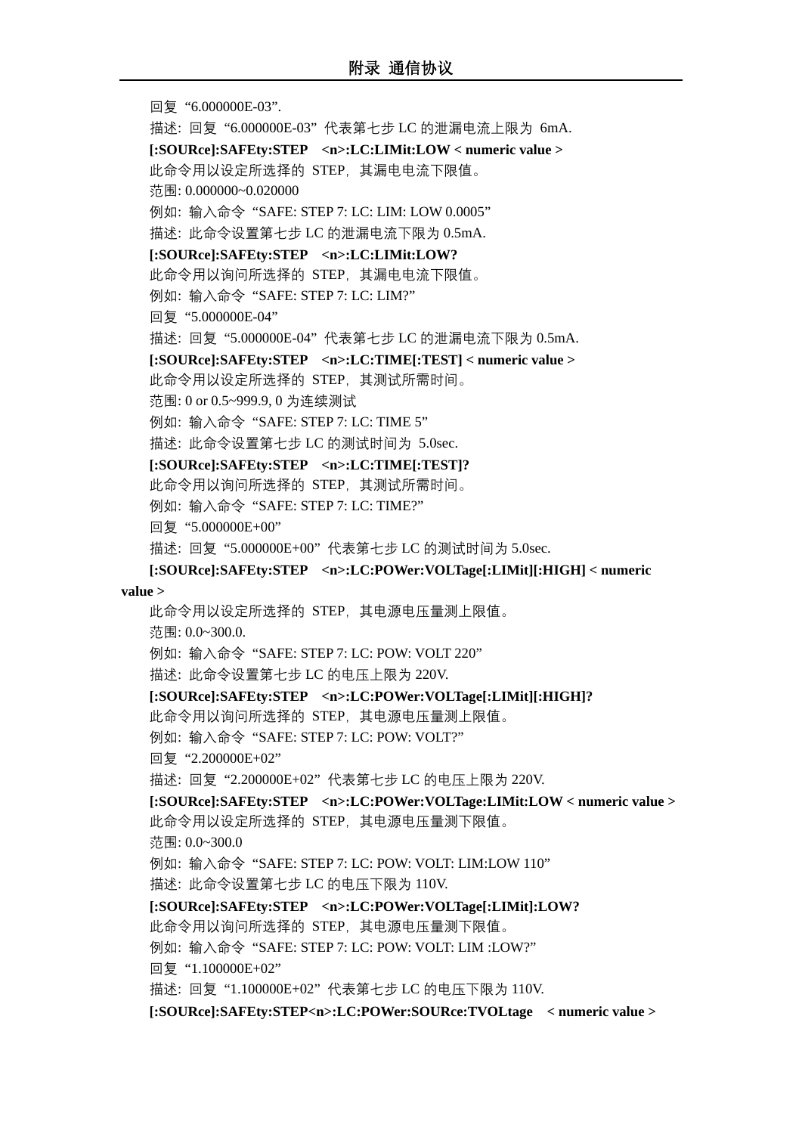回复 "6.000000E-03". 描述: 回复 "6.000000E-03" 代表第七步 LC 的泄漏电流上限为 6mA. **[:SOURce]:SAFEty:STEP <n>:LC:LIMit:LOW < numeric value >** 此命令用以设定所选择的 STEP,其漏电电流下限值。 范围: 0.000000~0.020000 例如: 输入命令 "SAFE: STEP 7: LC: LIM: LOW 0.0005" 描述: 此命令设置第七步 LC 的泄漏电流下限为 0.5mA. **[:SOURce]:SAFEty:STEP <n>:LC:LIMit:LOW?** 此命令用以询问所选择的 STEP,其漏电电流下限值。 例如: 输入命令 "SAFE: STEP 7: LC: LIM?" 回复 "5.000000E-04" 描述: 回复 "5.000000E-04" 代表第七步 LC 的泄漏电流下限为 0.5mA. **[:SOURce]:SAFEty:STEP <n>:LC:TIME[:TEST] < numeric value >** 此命令用以设定所选择的 STEP,其测试所需时间。 范围: 0 or 0.5~999.9, 0 为连续测试 例如: 输入命令 "SAFE: STEP 7: LC: TIME 5" 描述: 此命令设置第七步 LC 的测试时间为 5.0sec. **[:SOURce]:SAFEty:STEP <n>:LC:TIME[:TEST]?** 此命令用以询问所选择的 STEP,其测试所需时间。 例如: 输入命令 "SAFE: STEP 7: LC: TIME?" 回复 "5.000000E+00" 描述: 回复 "5.000000E+00" 代表第七步 LC 的测试时间为 5.0sec. **[:SOURce]:SAFEty:STEP <n>:LC:POWer:VOLTage[:LIMit][:HIGH] < numeric value >** 此命令用以设定所选择的 STEP,其电源电压量测上限值。 范围: 0.0~300.0. 例如: 输入命令 "SAFE: STEP 7: LC: POW: VOLT 220" 描述: 此命令设置第七步 LC 的电压上限为 220V. **[:SOURce]:SAFEty:STEP <n>:LC:POWer:VOLTage[:LIMit][:HIGH]?** 此命令用以询问所选择的 STEP,其电源电压量测上限值。 例如: 输入命令 "SAFE: STEP 7: LC: POW: VOLT?" 回复 "2.200000E+02" 描述: 回复 "2.200000E+02" 代表第七步 LC 的电压上限为 220V. **[:SOURce]:SAFEty:STEP <n>:LC:POWer:VOLTage:LIMit:LOW < numeric value >** 此命令用以设定所选择的 STEP,其电源电压量测下限值。 范围: 0.0~300.0 例如: 输入命令 "SAFE: STEP 7: LC: POW: VOLT: LIM:LOW 110" 描述: 此命令设置第七步 LC 的电压下限为 110V. **[:SOURce]:SAFEty:STEP <n>:LC:POWer:VOLTage[:LIMit]:LOW?** 此命令用以询问所选择的 STEP,其电源电压量测下限值。 例如: 输入命令 "SAFE: STEP 7: LC: POW: VOLT: LIM :LOW?" 回复 "1.100000E+02" 描述: 回复 "1.100000E+02" 代表第七步 LC 的电压下限为 110V. **[:SOURce]:SAFEty:STEP<n>:LC:POWer:SOURce:TVOLtage < numeric value >**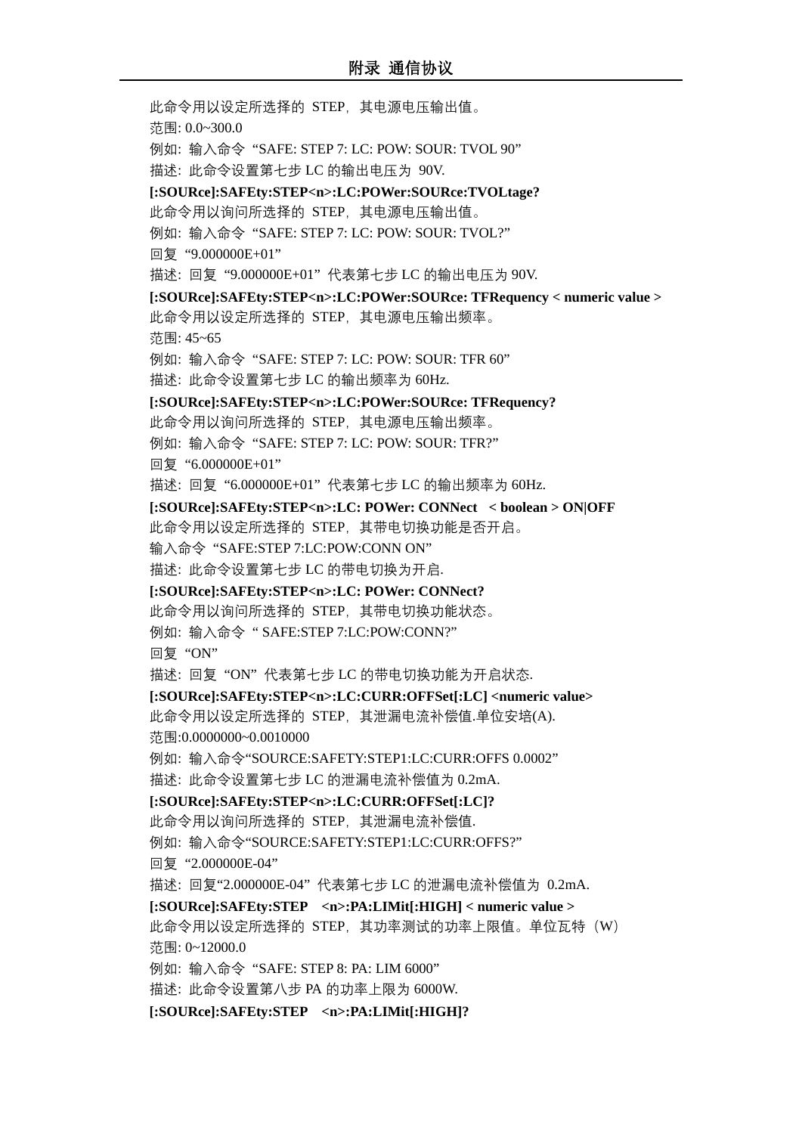此命令用以设定所选择的 STEP,其电源电压输出值。 范围: 0.0~300.0 例如: 输入命令 "SAFE: STEP 7: LC: POW: SOUR: TVOL 90" 描述: 此命令设置第七步 LC 的输出电压为 90V. **[:SOURce]:SAFEty:STEP<n>:LC:POWer:SOURce:TVOLtage?** 此命令用以询问所选择的 STEP,其电源电压输出值。 例如: 输入命令 "SAFE: STEP 7: LC: POW: SOUR: TVOL?" 回复 "9.000000E+01" 描述: 回复 "9.000000E+01" 代表第七步 LC 的输出电压为 90V. **[:SOURce]:SAFEty:STEP<n>:LC:POWer:SOURce: TFRequency < numeric value >** 此命令用以设定所选择的 STEP,其电源电压输出频率。 范围: 45~65 例如: 输入命令 "SAFE: STEP 7: LC: POW: SOUR: TFR 60" 描述: 此命令设置第七步 LC 的输出频率为 60Hz. **[:SOURce]:SAFEty:STEP<n>:LC:POWer:SOURce: TFRequency?** 此命令用以询问所选择的 STEP,其电源电压输出频率。 例如: 输入命令 "SAFE: STEP 7: LC: POW: SOUR: TFR?" 回复 "6.000000E+01" 描述: 回复 "6.000000E+01" 代表第七步 LC 的输出频率为 60Hz. **[:SOURce]:SAFEty:STEP<n>:LC: POWer: CONNect < boolean > ON|OFF** 此命令用以设定所选择的 STEP,其带电切换功能是否开启。 输入命令 "SAFE:STEP 7:LC:POW:CONN ON" 描述: 此命令设置第七步 LC 的带电切换为开启. **[:SOURce]:SAFEty:STEP<n>:LC: POWer: CONNect?** 此命令用以询问所选择的 STEP,其带电切换功能状态。 例如: 输入命令 " SAFE:STEP 7:LC:POW:CONN?" 回复 "ON" 描述: 回复 "ON" 代表第七步 LC 的带电切换功能为开启状态. **[:SOURce]:SAFEty:STEP<n>:LC:CURR:OFFSet[:LC] <numeric value>** 此命令用以设定所选择的 STEP, 其泄漏电流补偿值.单位安培(A). 范围:0.0000000~0.0010000 例如: 输入命令"SOURCE:SAFETY:STEP1:LC:CURR:OFFS 0.0002" 描述: 此命令设置第七步 LC 的泄漏电流补偿值为 0.2mA. **[:SOURce]:SAFEty:STEP<n>:LC:CURR:OFFSet[:LC]?** 此命令用以询问所选择的 STEP,其泄漏电流补偿值. 例如: 输入命令"SOURCE:SAFETY:STEP1:LC:CURR:OFFS?" 回复 "2.000000E-04" 描述: 回复"2.000000E-04" 代表第七步 LC 的泄漏电流补偿值为 0.2mA. **[:SOURce]:SAFEty:STEP <n>:PA:LIMit[:HIGH] < numeric value >** 此命令用以设定所选择的 STEP, 其功率测试的功率上限值。单位瓦特(W) 范围: 0~12000.0 例如: 输入命令 "SAFE: STEP 8: PA: LIM 6000" 描述: 此命令设置第八步 PA 的功率上限为 6000W. **[:SOURce]:SAFEty:STEP <n>:PA:LIMit[:HIGH]?**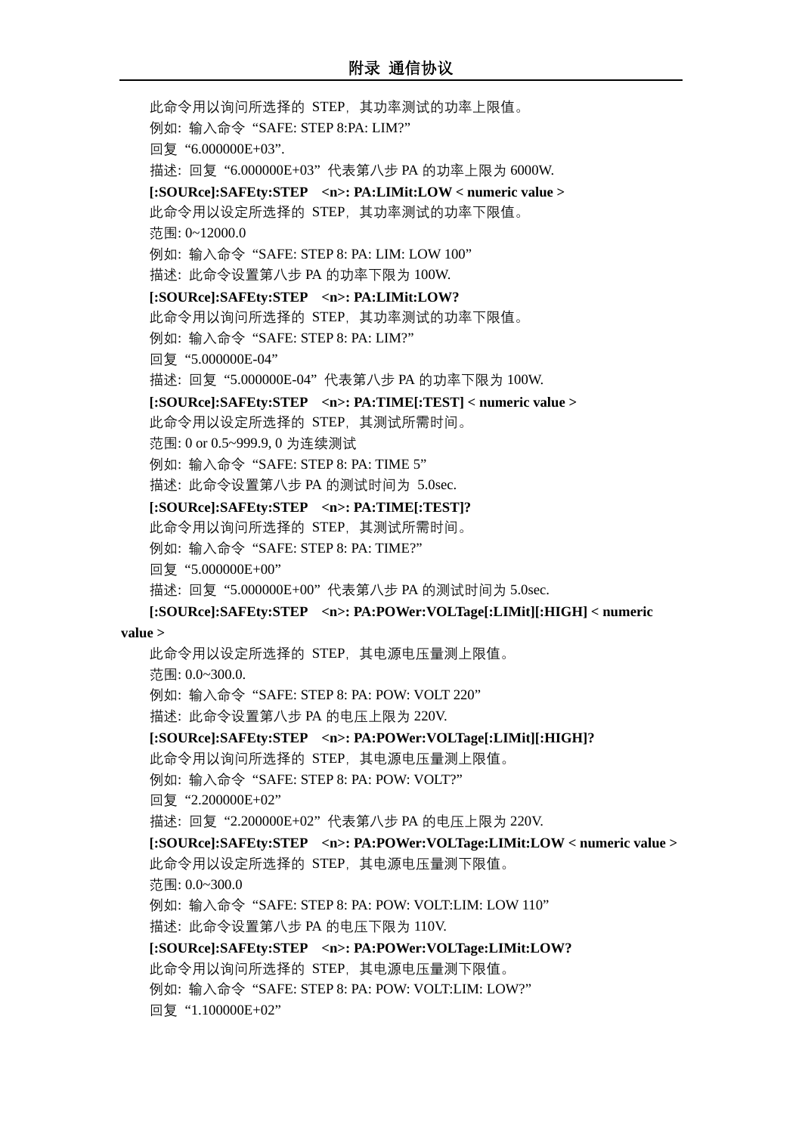此命令用以询问所选择的 STEP,其功率测试的功率上限值。 例如: 输入命令 "SAFE: STEP 8:PA: LIM?" 回复 "6.000000E+03". 描述: 回复 "6.000000E+03" 代表第八步 PA 的功率上限为 6000W. **[:SOURce]:SAFEty:STEP <n>: PA:LIMit:LOW < numeric value >** 此命令用以设定所选择的 STEP,其功率测试的功率下限值。 范围: 0~12000.0 例如: 输入命令 "SAFE: STEP 8: PA: LIM: LOW 100" 描述: 此命令设置第八步 PA 的功率下限为 100W. **[:SOURce]:SAFEty:STEP <n>: PA:LIMit:LOW?** 此命令用以询问所选择的 STEP,其功率测试的功率下限值。 例如: 输入命令 "SAFE: STEP 8: PA: LIM?" 回复 "5.000000E-04" 描述: 回复 "5.000000E-04" 代表第八步 PA 的功率下限为 100W. **[:SOURce]:SAFEty:STEP <n>: PA:TIME[:TEST] < numeric value >** 此命令用以设定所选择的 STEP,其测试所需时间。 范围: 0 or 0.5~999.9, 0 为连续测试 例如: 输入命令 "SAFE: STEP 8: PA: TIME 5" 描述: 此命令设置第八步 PA 的测试时间为 5.0sec. **[:SOURce]:SAFEty:STEP <n>: PA:TIME[:TEST]?** 此命令用以询问所选择的 STEP,其测试所需时间。 例如: 输入命令 "SAFE: STEP 8: PA: TIME?" 回复 "5.000000E+00" 描述: 回复 "5.000000E+00" 代表第八步 PA 的测试时间为 5.0sec. **[:SOURce]:SAFEty:STEP <n>: PA:POWer:VOLTage[:LIMit][:HIGH] < numeric value >** 此命令用以设定所选择的 STEP,其电源电压量测上限值。 范围: 0.0~300.0. 例如: 输入命令 "SAFE: STEP 8: PA: POW: VOLT 220" 描述: 此命令设置第八步 PA 的电压上限为 220V. **[:SOURce]:SAFEty:STEP <n>: PA:POWer:VOLTage[:LIMit][:HIGH]?** 此命令用以询问所选择的 STEP,其电源电压量测上限值。 例如: 输入命令 "SAFE: STEP 8: PA: POW: VOLT?" 回复 "2.200000E+02" 描述: 回复 "2.200000E+02" 代表第八步 PA 的电压上限为 220V. **[:SOURce]:SAFEty:STEP <n>: PA:POWer:VOLTage:LIMit:LOW < numeric value >** 此命令用以设定所选择的 STEP,其电源电压量测下限值。 范围: 0.0~300.0 例如: 输入命令 "SAFE: STEP 8: PA: POW: VOLT:LIM: LOW 110" 描述: 此命令设置第八步 PA 的电压下限为 110V. **[:SOURce]:SAFEty:STEP <n>: PA:POWer:VOLTage:LIMit:LOW?** 此命令用以询问所选择的 STEP,其电源电压量测下限值。 例如: 输入命令 "SAFE: STEP 8: PA: POW: VOLT:LIM: LOW?" 回复 "1.100000E+02"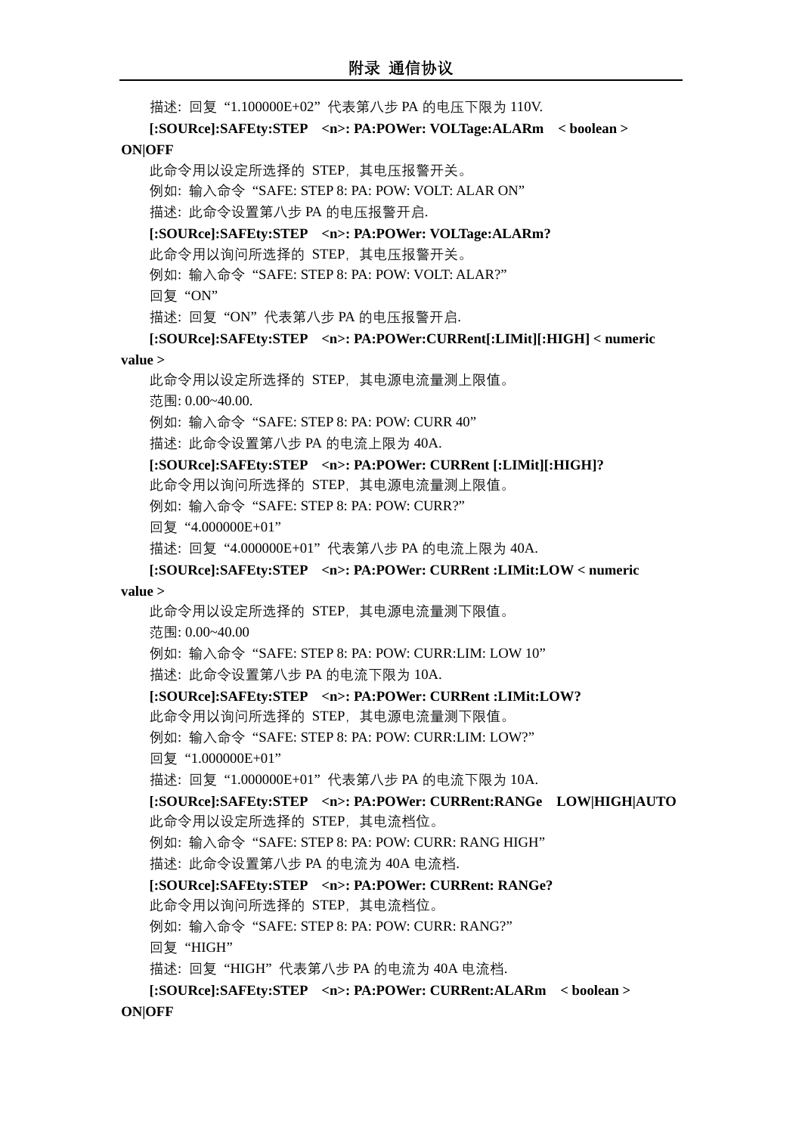描述: 回复 "1.100000E+02" 代表第八步 PA 的电压下限为 110V. **[:SOURce]:SAFEty:STEP <n>: PA:POWer: VOLTage:ALARm < boolean > ON|OFF** 此命令用以设定所选择的 STEP,其电压报警开关。 例如: 输入命令 "SAFE: STEP 8: PA: POW: VOLT: ALAR ON" 描述: 此命令设置第八步 PA 的电压报警开启. **[:SOURce]:SAFEty:STEP <n>: PA:POWer: VOLTage:ALARm?** 此命令用以询问所选择的 STEP,其电压报警开关。 例如: 输入命令 "SAFE: STEP 8: PA: POW: VOLT: ALAR?" 回复 "ON" 描述: 回复 "ON" 代表第八步 PA 的电压报警开启. **[:SOURce]:SAFEty:STEP <n>: PA:POWer:CURRent[:LIMit][:HIGH] < numeric value >** 此命令用以设定所选择的 STEP,其电源电流量测上限值。 范围: 0.00~40.00. 例如: 输入命令 "SAFE: STEP 8: PA: POW: CURR 40" 描述: 此命令设置第八步 PA 的电流上限为 40A. **[:SOURce]:SAFEty:STEP <n>: PA:POWer: CURRent [:LIMit][:HIGH]?** 此命令用以询问所选择的 STEP,其电源电流量测上限值。 例如: 输入命令 "SAFE: STEP 8: PA: POW: CURR?" 回复 "4.000000E+01" 描述: 回复 "4.000000E+01" 代表第八步 PA 的电流上限为 40A. **[:SOURce]:SAFEty:STEP <n>: PA:POWer: CURRent :LIMit:LOW < numeric value >** 此命令用以设定所选择的 STEP,其电源电流量测下限值。 范围: 0.00~40.00 例如: 输入命令 "SAFE: STEP 8: PA: POW: CURR:LIM: LOW 10" 描述: 此命令设置第八步 PA 的电流下限为 10A. **[:SOURce]:SAFEty:STEP <n>: PA:POWer: CURRent :LIMit:LOW?** 此命令用以询问所选择的 STEP,其电源电流量测下限值。 例如: 输入命令 "SAFE: STEP 8: PA: POW: CURR:LIM: LOW?" 回复 "1.000000E+01" 描述: 回复 "1.000000E+01" 代表第八步 PA 的电流下限为 10A. **[:SOURce]:SAFEty:STEP <n>: PA:POWer: CURRent:RANGe LOW|HIGH|AUTO** 此命令用以设定所选择的 STEP,其电流档位。 例如: 输入命令 "SAFE: STEP 8: PA: POW: CURR: RANG HIGH" 描述: 此命令设置第八步 PA 的电流为 40A 电流档. **[:SOURce]:SAFEty:STEP <n>: PA:POWer: CURRent: RANGe?** 此命令用以询问所选择的 STEP,其电流档位。 例如: 输入命令 "SAFE: STEP 8: PA: POW: CURR: RANG?" 回复 "HIGH" 描述: 回复 "HIGH" 代表第八步 PA 的电流为 40A 电流档. **[:SOURce]:SAFEty:STEP <n>: PA:POWer: CURRent:ALARm < boolean >** 

#### **ON|OFF**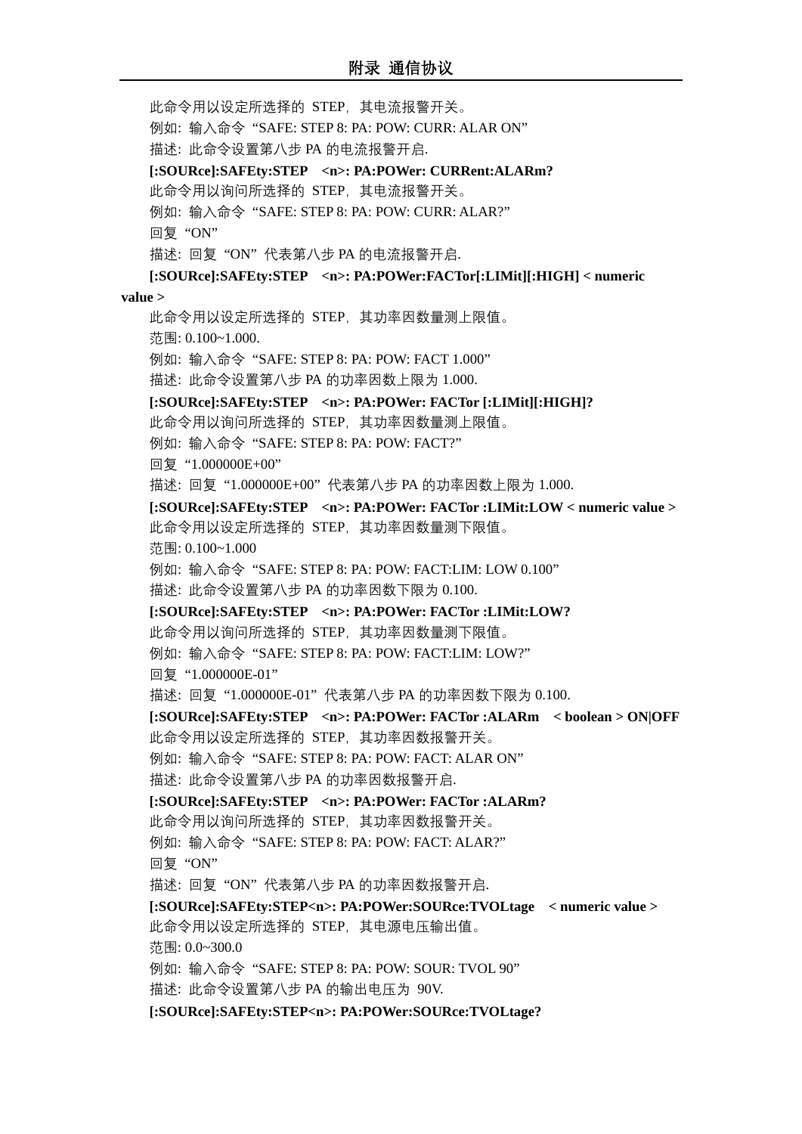此命令用以设定所选择的 STEP,其电流报警开关。 例如: 输入命令 "SAFE: STEP 8: PA: POW: CURR: ALAR ON" 描述: 此命令设置第八步 PA 的电流报警开启. **[:SOURce]:SAFEty:STEP <n>: PA:POWer: CURRent:ALARm?** 此命令用以询问所选择的 STEP,其电流报警开关。 例如: 输入命令 "SAFE: STEP 8: PA: POW: CURR: ALAR?" 回复 "ON" 描述: 回复 "ON" 代表第八步 PA 的电流报警开启. **[:SOURce]:SAFEty:STEP <n>: PA:POWer:FACTor[:LIMit][:HIGH] < numeric value >** 此命令用以设定所选择的 STEP,其功率因数量测上限值。 范围: 0.100~1.000. 例如: 输入命令 "SAFE: STEP 8: PA: POW: FACT 1.000" 描述: 此命令设置第八步 PA 的功率因数上限为 1.000. **[:SOURce]:SAFEty:STEP <n>: PA:POWer: FACTor [:LIMit][:HIGH]?** 此命令用以询问所选择的 STEP,其功率因数量测上限值。 例如: 输入命令 "SAFE: STEP 8: PA: POW: FACT?" 回复 "1.000000E+00" 描述: 回复 "1.000000E+00" 代表第八步 PA 的功率因数上限为 1.000. **[:SOURce]:SAFEty:STEP <n>: PA:POWer: FACTor :LIMit:LOW < numeric value >** 此命令用以设定所选择的 STEP,其功率因数量测下限值。 范围: 0.100~1.000 例如: 输入命令 "SAFE: STEP 8: PA: POW: FACT:LIM: LOW 0.100" 描述: 此命令设置第八步 PA 的功率因数下限为 0.100. **[:SOURce]:SAFEty:STEP <n>: PA:POWer: FACTor :LIMit:LOW?** 此命令用以询问所选择的 STEP,其功率因数量测下限值。 例如: 输入命令 "SAFE: STEP 8: PA: POW: FACT:LIM: LOW?" 回复 "1.000000E-01" 描述: 回复 "1.000000E-01" 代表第八步 PA 的功率因数下限为 0.100. **[:SOURce]:SAFEty:STEP <n>: PA:POWer: FACTor :ALARm < boolean > ON|OFF** 此命令用以设定所选择的 STEP,其功率因数报警开关。 例如: 输入命令 "SAFE: STEP 8: PA: POW: FACT: ALAR ON" 描述: 此命令设置第八步 PA 的功率因数报警开启. **[:SOURce]:SAFEty:STEP <n>: PA:POWer: FACTor :ALARm?** 此命令用以询问所选择的 STEP,其功率因数报警开关。 例如: 输入命令 "SAFE: STEP 8: PA: POW: FACT: ALAR?" 回复 "ON" 描述: 回复 "ON" 代表第八步 PA 的功率因数报警开启. **[:SOURce]:SAFEty:STEP<n>: PA:POWer:SOURce:TVOLtage < numeric value >** 此命令用以设定所选择的 STEP,其电源电压输出值。 范围: 0.0~300.0 例如: 输入命令 "SAFE: STEP 8: PA: POW: SOUR: TVOL 90" 描述: 此命令设置第八步 PA 的输出电压为 90V. **[:SOURce]:SAFEty:STEP<n>: PA:POWer:SOURce:TVOLtage?**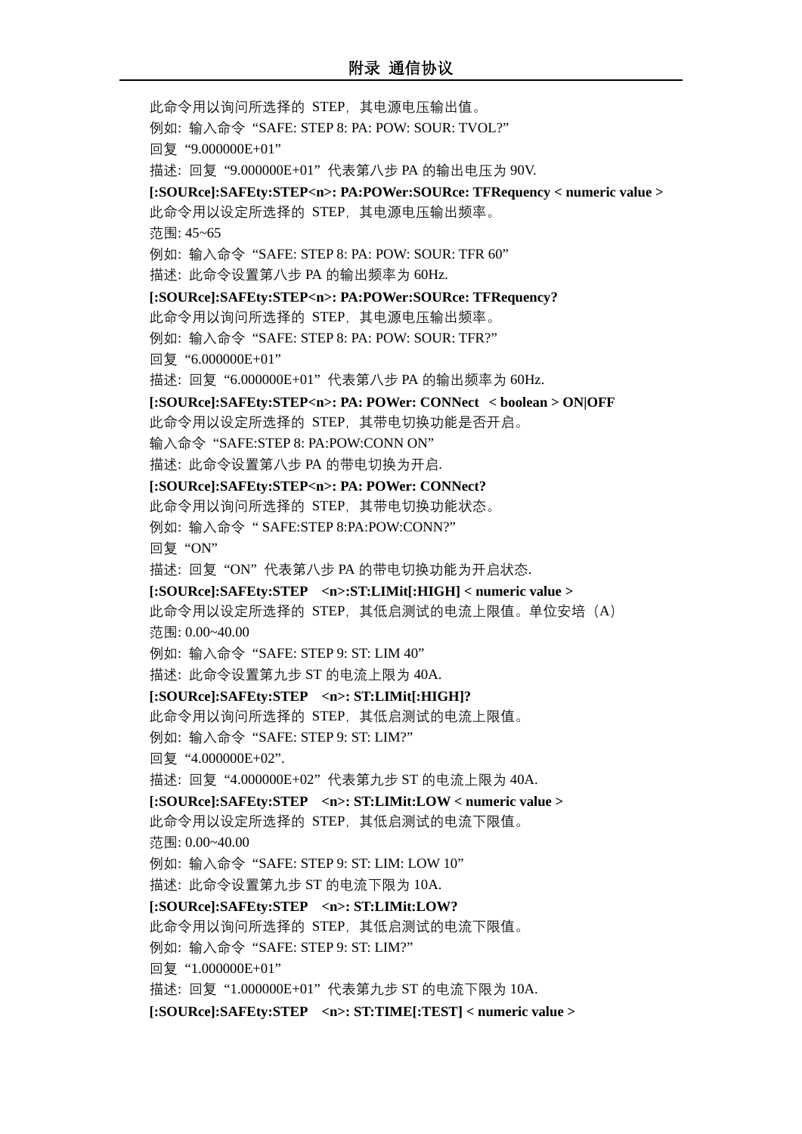此命令用以询问所选择的 STEP,其电源电压输出值。 例如: 输入命令 "SAFE: STEP 8: PA: POW: SOUR: TVOL?" 回复 "9.000000E+01" 描述: 回复 "9.000000E+01" 代表第八步 PA 的输出电压为 90V. **[:SOURce]:SAFEty:STEP<n>: PA:POWer:SOURce: TFRequency < numeric value >** 此命令用以设定所选择的 STEP,其电源电压输出频率。 范围: 45~65 例如: 输入命令 "SAFE: STEP 8: PA: POW: SOUR: TFR 60" 描述: 此命令设置第八步 PA 的输出频率为 60Hz. **[:SOURce]:SAFEty:STEP<n>: PA:POWer:SOURce: TFRequency?** 此命令用以询问所选择的 STEP,其电源电压输出频率。 例如: 输入命令 "SAFE: STEP 8: PA: POW: SOUR: TFR?" 回复 "6.000000E+01" 描述: 回复 "6.000000E+01" 代表第八步 PA 的输出频率为 60Hz. **[:SOURce]:SAFEty:STEP<n>: PA: POWer: CONNect < boolean > ON|OFF** 此命令用以设定所选择的 STEP,其带电切换功能是否开启。 输入命令 "SAFE:STEP 8: PA:POW:CONN ON" 描述: 此命令设置第八步 PA 的带电切换为开启. **[:SOURce]:SAFEty:STEP<n>: PA: POWer: CONNect?** 此命令用以询问所选择的 STEP,其带电切换功能状态。 例如: 输入命令 " SAFE:STEP 8:PA:POW:CONN?" 回复 "ON" 描述: 回复 "ON" 代表第八步 PA 的带电切换功能为开启状态. **[:SOURce]:SAFEty:STEP <n>:ST:LIMit[:HIGH] < numeric value >** 此命令用以设定所选择的 STEP, 其低启测试的电流上限值。单位安培 (A) 范围: 0.00~40.00 例如: 输入命令 "SAFE: STEP 9: ST: LIM 40" 描述: 此命令设置第九步 ST 的电流上限为 40A. **[:SOURce]:SAFEty:STEP <n>: ST:LIMit[:HIGH]?** 此命令用以询问所选择的 STEP,其低启测试的电流上限值。 例如: 输入命令 "SAFE: STEP 9: ST: LIM?" 回复 "4.000000E+02". 描述: 回复 "4.000000E+02" 代表第九步 ST 的电流上限为 40A. **[:SOURce]:SAFEty:STEP <n>: ST:LIMit:LOW < numeric value >** 此命令用以设定所选择的 STEP,其低启测试的电流下限值。 范围: 0.00~40.00 例如: 输入命令 "SAFE: STEP 9: ST: LIM: LOW 10" 描述: 此命令设置第九步 ST 的电流下限为 10A. **[:SOURce]:SAFEty:STEP <n>: ST:LIMit:LOW?** 此命令用以询问所选择的 STEP,其低启测试的电流下限值。 例如: 输入命令 "SAFE: STEP 9: ST: LIM?" 回复 "1.000000E+01" 描述: 回复 "1.000000E+01" 代表第九步 ST 的电流下限为 10A. **[:SOURce]:SAFEty:STEP <n>: ST:TIME[:TEST] < numeric value >**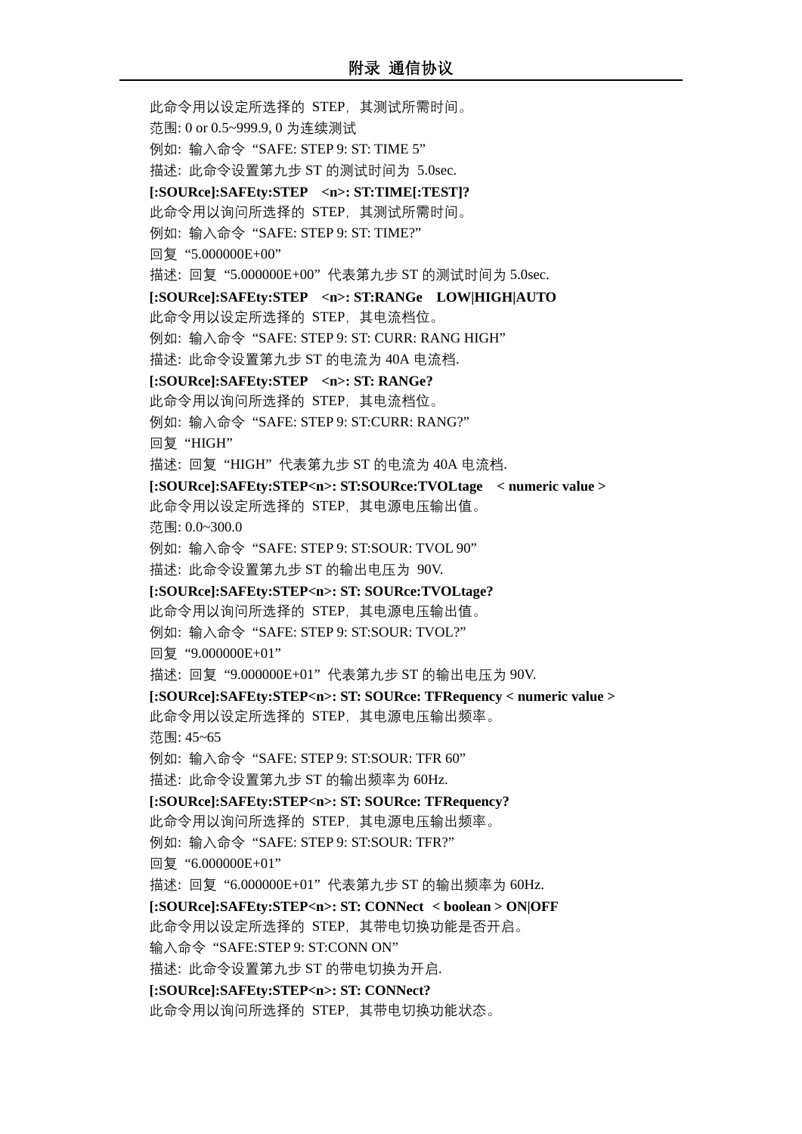此命令用以设定所选择的 STEP,其测试所需时间。 范围: 0 or 0.5~999.9, 0 为连续测试 例如: 输入命令 "SAFE: STEP 9: ST: TIME 5" 描述: 此命令设置第九步 ST 的测试时间为 5.0sec. **[:SOURce]:SAFEty:STEP <n>: ST:TIME[:TEST]?** 此命令用以询问所选择的 STEP,其测试所需时间。 例如: 输入命令 "SAFE: STEP 9: ST: TIME?" 回复 "5.000000E+00" 描述: 回复 "5.000000E+00" 代表第九步 ST 的测试时间为 5.0sec. **[:SOURce]:SAFEty:STEP <n>: ST:RANGe LOW|HIGH|AUTO** 此命令用以设定所选择的 STEP,其电流档位。 例如: 输入命令 "SAFE: STEP 9: ST: CURR: RANG HIGH" 描述: 此命令设置第九步 ST 的电流为 40A 电流档. **[:SOURce]:SAFEty:STEP <n>: ST: RANGe?** 此命令用以询问所选择的 STEP,其电流档位。 例如: 输入命令 "SAFE: STEP 9: ST:CURR: RANG?" 回复 "HIGH" 描述: 回复 "HIGH" 代表第九步 ST 的电流为 40A 电流档. **[:SOURce]:SAFEty:STEP<n>: ST:SOURce:TVOLtage < numeric value >** 此命令用以设定所选择的 STEP,其电源电压输出值。 范围: 0.0~300.0 例如: 输入命令 "SAFE: STEP 9: ST:SOUR: TVOL 90" 描述: 此命令设置第九步 ST 的输出电压为 90V. **[:SOURce]:SAFEty:STEP<n>: ST: SOURce:TVOLtage?** 此命令用以询问所选择的 STEP,其电源电压输出值。 例如: 输入命令 "SAFE: STEP 9: ST:SOUR: TVOL?" 回复 "9.000000E+01" 描述: 回复 "9.000000E+01" 代表第九步 ST 的输出电压为 90V. **[:SOURce]:SAFEty:STEP<n>: ST: SOURce: TFRequency < numeric value >** 此命令用以设定所选择的 STEP,其电源电压输出频率。 范围: 45~65 例如: 输入命令 "SAFE: STEP 9: ST:SOUR: TFR 60" 描述: 此命令设置第九步 ST 的输出频率为 60Hz. **[:SOURce]:SAFEty:STEP<n>: ST: SOURce: TFRequency?** 此命令用以询问所选择的 STEP,其电源电压输出频率。 例如: 输入命令 "SAFE: STEP 9: ST:SOUR: TFR?" 回复 "6.000000E+01" 描述: 回复 "6.000000E+01" 代表第九步 ST 的输出频率为 60Hz. **[:SOURce]:SAFEty:STEP<n>: ST: CONNect < boolean > ON|OFF** 此命令用以设定所选择的 STEP,其带电切换功能是否开启。 输入命令 "SAFE:STEP 9: ST:CONN ON" 描述: 此命令设置第九步 ST 的带电切换为开启. **[:SOURce]:SAFEty:STEP<n>: ST: CONNect?** 此命令用以询问所选择的 STEP,其带电切换功能状态。